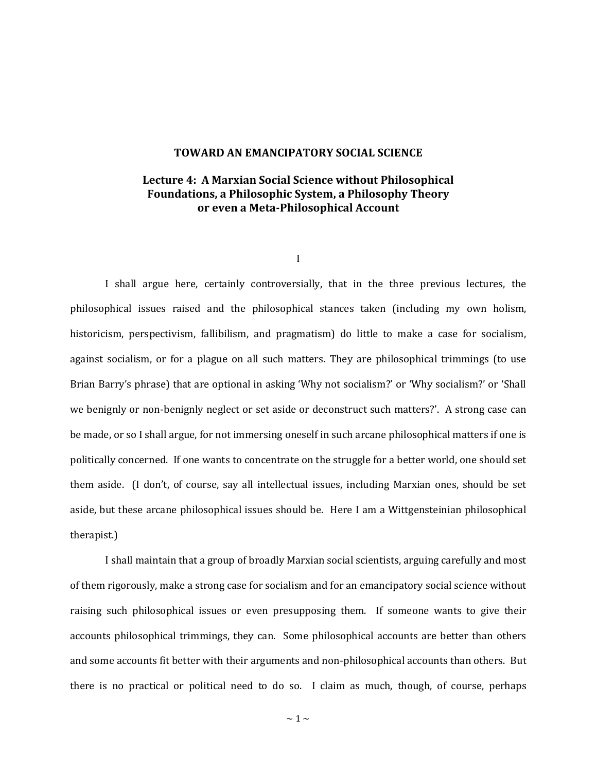## **TOWARD AN EMANCIPATORY SOCIAL SCIENCE**

# **Lecture 4: A Marxian Social Science without Philosophical Foundations, a Philosophic System, a Philosophy Theory or even a Meta-Philosophical Account**

I

I shall argue here, certainly controversially, that in the three previous lectures, the philosophical issues raised and the philosophical stances taken (including my own holism, historicism, perspectivism, fallibilism, and pragmatism) do little to make a case for socialism, against socialism, or for a plague on all such matters. They are philosophical trimmings (to use Brian Barry's phrase) that are optional in asking 'Why not socialism?' or 'Why socialism?' or 'Shall we benignly or non-benignly neglect or set aside or deconstruct such matters?'. A strong case can be made, or so I shall argue, for not immersing oneself in such arcane philosophical matters if one is politically concerned. If one wants to concentrate on the struggle for a better world, one should set them aside. (I don't, of course, say all intellectual issues, including Marxian ones, should be set aside, but these arcane philosophical issues should be. Here I am a Wittgensteinian philosophical therapist.)

I shall maintain that a group of broadly Marxian social scientists, arguing carefully and most of them rigorously, make a strong case for socialism and for an emancipatory social science without raising such philosophical issues or even presupposing them. If someone wants to give their accounts philosophical trimmings, they can. Some philosophical accounts are better than others and some accounts fit better with their arguments and non-philosophical accounts than others. But there is no practical or political need to do so. I claim as much, though, of course, perhaps

 $\sim$  1  $\sim$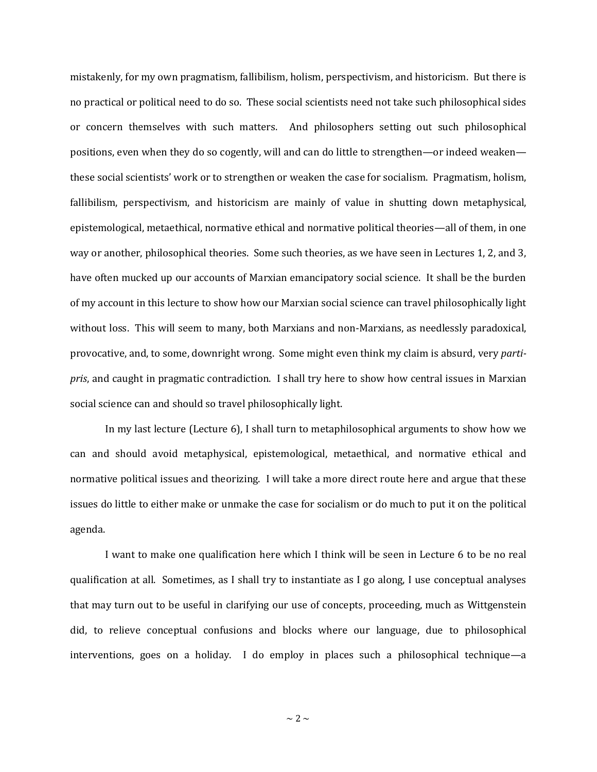mistakenly, for my own pragmatism, fallibilism, holism, perspectivism, and historicism. But there is no practical or political need to do so. These social scientists need not take such philosophical sides or concern themselves with such matters. And philosophers setting out such philosophical positions, even when they do so cogently, will and can do little to strengthen—or indeed weaken these social scientists' work or to strengthen or weaken the case for socialism. Pragmatism, holism, fallibilism, perspectivism, and historicism are mainly of value in shutting down metaphysical, epistemological, metaethical, normative ethical and normative political theories—all of them, in one way or another, philosophical theories. Some such theories, as we have seen in Lectures 1, 2, and 3, have often mucked up our accounts of Marxian emancipatory social science. It shall be the burden of my account in this lecture to show how our Marxian social science can travel philosophically light without loss. This will seem to many, both Marxians and non-Marxians, as needlessly paradoxical, provocative, and, to some, downright wrong. Some might even think my claim is absurd, very *partipris*, and caught in pragmatic contradiction. I shall try here to show how central issues in Marxian social science can and should so travel philosophically light.

In my last lecture (Lecture 6), I shall turn to metaphilosophical arguments to show how we can and should avoid metaphysical, epistemological, metaethical, and normative ethical and normative political issues and theorizing. I will take a more direct route here and argue that these issues do little to either make or unmake the case for socialism or do much to put it on the political agenda.

I want to make one qualification here which I think will be seen in Lecture 6 to be no real qualification at all. Sometimes, as I shall try to instantiate as I go along, I use conceptual analyses that may turn out to be useful in clarifying our use of concepts, proceeding, much as Wittgenstein did, to relieve conceptual confusions and blocks where our language, due to philosophical interventions, goes on a holiday. I do employ in places such a philosophical technique—a

 $\sim$  2  $\sim$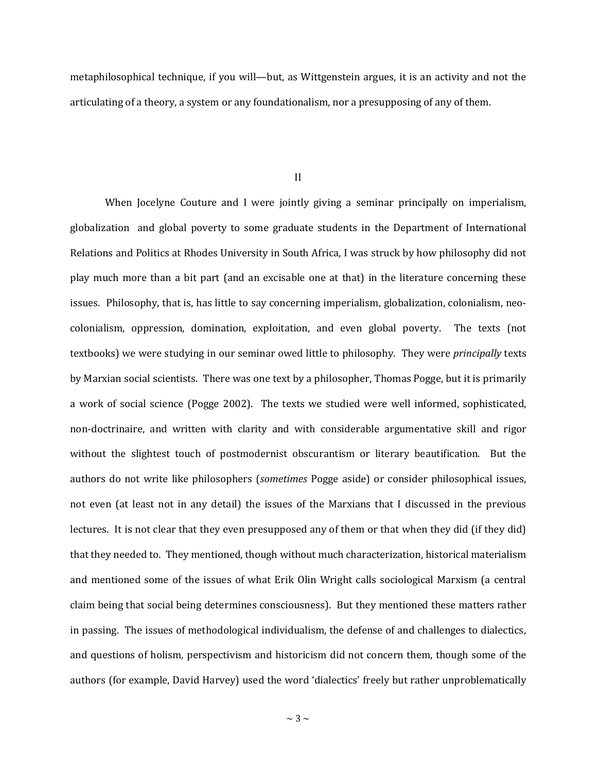metaphilosophical technique, if you will—but, as Wittgenstein argues, it is an activity and not the articulating of a theory, a system or any foundationalism, nor a presupposing of any of them.

II

When Jocelyne Couture and I were jointly giving a seminar principally on imperialism, globalization and global poverty to some graduate students in the Department of International Relations and Politics at Rhodes University in South Africa, I was struck by how philosophy did not play much more than a bit part (and an excisable one at that) in the literature concerning these issues. Philosophy, that is, has little to say concerning imperialism, globalization, colonialism, neocolonialism, oppression, domination, exploitation, and even global poverty. The texts (not textbooks) we were studying in our seminar owed little to philosophy. They were *principally* texts by Marxian social scientists. There was one text by a philosopher, Thomas Pogge, but it is primarily a work of social science (Pogge 2002). The texts we studied were well informed, sophisticated, non-doctrinaire, and written with clarity and with considerable argumentative skill and rigor without the slightest touch of postmodernist obscurantism or literary beautification. But the authors do not write like philosophers (*sometimes* Pogge aside) or consider philosophical issues, not even (at least not in any detail) the issues of the Marxians that I discussed in the previous lectures. It is not clear that they even presupposed any of them or that when they did (if they did) that they needed to. They mentioned, though without much characterization, historical materialism and mentioned some of the issues of what Erik Olin Wright calls sociological Marxism (a central claim being that social being determines consciousness). But they mentioned these matters rather in passing. The issues of methodological individualism, the defense of and challenges to dialectics, and questions of holism, perspectivism and historicism did not concern them, though some of the authors (for example, David Harvey) used the word 'dialectics' freely but rather unproblematically

 $\sim$  3  $\sim$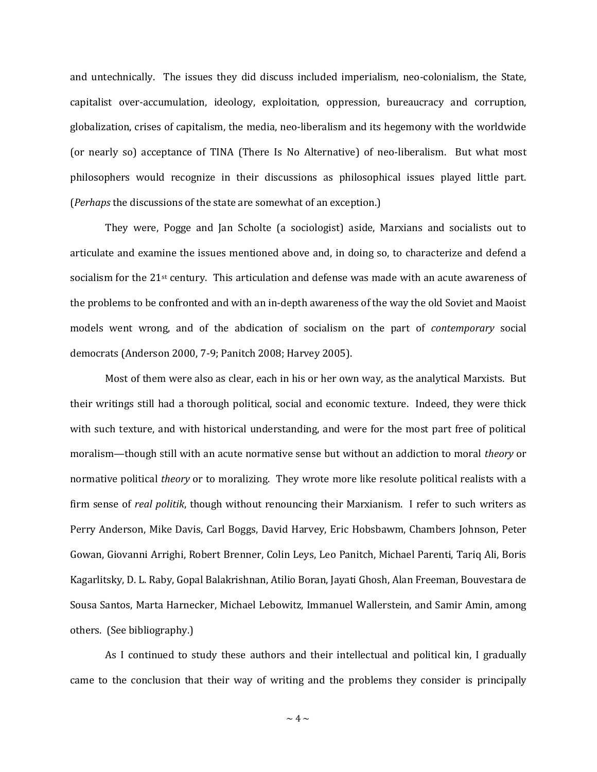and untechnically. The issues they did discuss included imperialism, neo-colonialism, the State, capitalist over-accumulation, ideology, exploitation, oppression, bureaucracy and corruption, globalization, crises of capitalism, the media, neo-liberalism and its hegemony with the worldwide (or nearly so) acceptance of TINA (There Is No Alternative) of neo-liberalism. But what most philosophers would recognize in their discussions as philosophical issues played little part. (*Perhaps* the discussions of the state are somewhat of an exception.)

They were, Pogge and Jan Scholte (a sociologist) aside, Marxians and socialists out to articulate and examine the issues mentioned above and, in doing so, to characterize and defend a socialism for the 21st century. This articulation and defense was made with an acute awareness of the problems to be confronted and with an in-depth awareness of the way the old Soviet and Maoist models went wrong, and of the abdication of socialism on the part of *contemporary* social democrats (Anderson 2000, 7-9; Panitch 2008; Harvey 2005).

Most of them were also as clear, each in his or her own way, as the analytical Marxists. But their writings still had a thorough political, social and economic texture. Indeed, they were thick with such texture, and with historical understanding, and were for the most part free of political moralism—though still with an acute normative sense but without an addiction to moral *theory* or normative political *theory* or to moralizing. They wrote more like resolute political realists with a firm sense of *real politik*, though without renouncing their Marxianism. I refer to such writers as Perry Anderson, Mike Davis, Carl Boggs, David Harvey, Eric Hobsbawm, Chambers Johnson, Peter Gowan, Giovanni Arrighi, Robert Brenner, Colin Leys, Leo Panitch, Michael Parenti, Tariq Ali, Boris Kagarlitsky, D. L. Raby, Gopal Balakrishnan, Atilio Boran, Jayati Ghosh, Alan Freeman, Bouvestara de Sousa Santos, Marta Harnecker, Michael Lebowitz, Immanuel Wallerstein, and Samir Amin, among others. (See bibliography.)

As I continued to study these authors and their intellectual and political kin, I gradually came to the conclusion that their way of writing and the problems they consider is principally

 $\sim$  4  $\sim$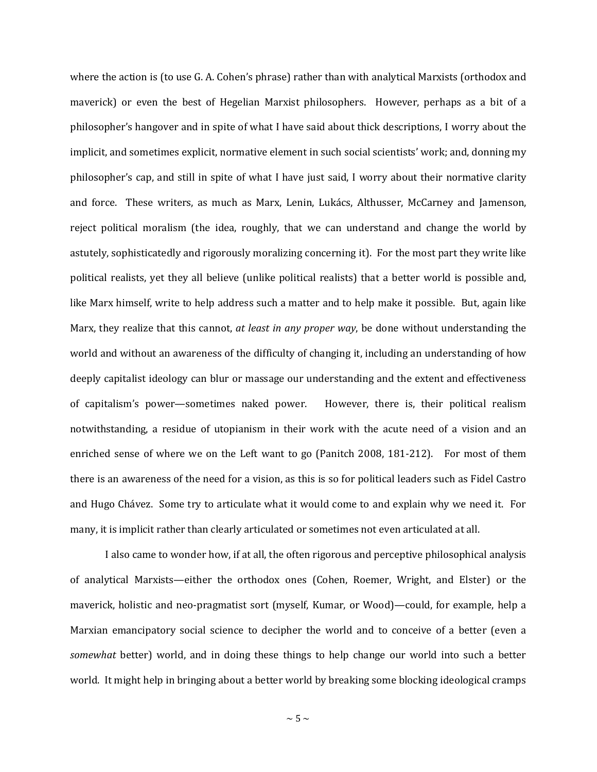where the action is (to use G. A. Cohen's phrase) rather than with analytical Marxists (orthodox and maverick) or even the best of Hegelian Marxist philosophers. However, perhaps as a bit of a philosopher's hangover and in spite of what I have said about thick descriptions, I worry about the implicit, and sometimes explicit, normative element in such social scientists' work; and, donning my philosopher's cap, and still in spite of what I have just said, I worry about their normative clarity and force. These writers, as much as Marx, Lenin, Lukács, Althusser, McCarney and Jamenson, reject political moralism (the idea, roughly, that we can understand and change the world by astutely, sophisticatedly and rigorously moralizing concerning it). For the most part they write like political realists, yet they all believe (unlike political realists) that a better world is possible and, like Marx himself, write to help address such a matter and to help make it possible. But, again like Marx, they realize that this cannot, *at least in any proper way*, be done without understanding the world and without an awareness of the difficulty of changing it, including an understanding of how deeply capitalist ideology can blur or massage our understanding and the extent and effectiveness of capitalism's power—sometimes naked power. However, there is, their political realism notwithstanding, a residue of utopianism in their work with the acute need of a vision and an enriched sense of where we on the Left want to go (Panitch 2008, 181-212). For most of them there is an awareness of the need for a vision, as this is so for political leaders such as Fidel Castro and Hugo Chávez. Some try to articulate what it would come to and explain why we need it. For many, it is implicit rather than clearly articulated or sometimes not even articulated at all.

I also came to wonder how, if at all, the often rigorous and perceptive philosophical analysis of analytical Marxists—either the orthodox ones (Cohen, Roemer, Wright, and Elster) or the maverick, holistic and neo-pragmatist sort (myself, Kumar, or Wood)—could, for example, help a Marxian emancipatory social science to decipher the world and to conceive of a better (even a *somewhat* better) world, and in doing these things to help change our world into such a better world. It might help in bringing about a better world by breaking some blocking ideological cramps

 $\sim$  5  $\sim$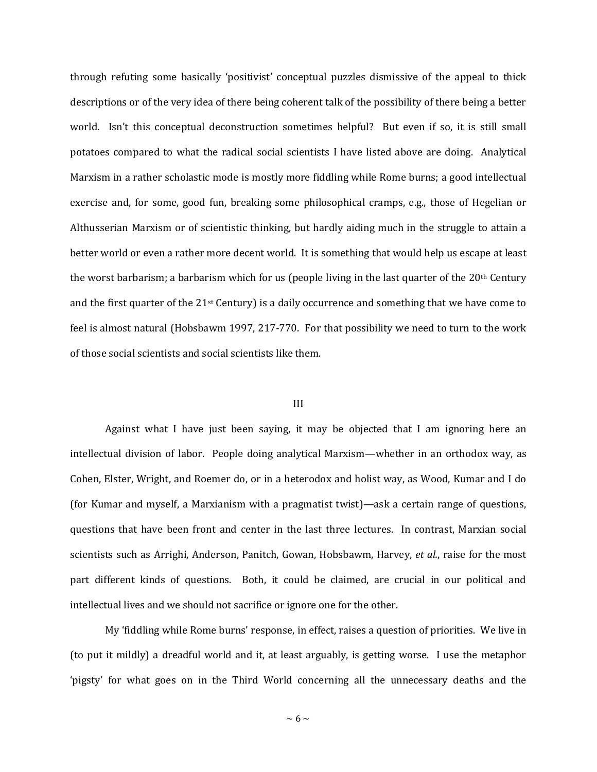through refuting some basically 'positivist' conceptual puzzles dismissive of the appeal to thick descriptions or of the very idea of there being coherent talk of the possibility of there being a better world. Isn't this conceptual deconstruction sometimes helpful? But even if so, it is still small potatoes compared to what the radical social scientists I have listed above are doing. Analytical Marxism in a rather scholastic mode is mostly more fiddling while Rome burns; a good intellectual exercise and, for some, good fun, breaking some philosophical cramps, e.g., those of Hegelian or Althusserian Marxism or of scientistic thinking, but hardly aiding much in the struggle to attain a better world or even a rather more decent world. It is something that would help us escape at least the worst barbarism; a barbarism which for us (people living in the last quarter of the  $20<sup>th</sup>$  Century and the first quarter of the  $21$ <sup>st</sup> Century) is a daily occurrence and something that we have come to feel is almost natural (Hobsbawm 1997, 217-770. For that possibility we need to turn to the work of those social scientists and social scientists like them.

### III

Against what I have just been saying, it may be objected that I am ignoring here an intellectual division of labor. People doing analytical Marxism—whether in an orthodox way, as Cohen, Elster, Wright, and Roemer do, or in a heterodox and holist way, as Wood, Kumar and I do (for Kumar and myself, a Marxianism with a pragmatist twist)—ask a certain range of questions, questions that have been front and center in the last three lectures. In contrast, Marxian social scientists such as Arrighi, Anderson, Panitch, Gowan, Hobsbawm, Harvey, *et al.*, raise for the most part different kinds of questions. Both, it could be claimed, are crucial in our political and intellectual lives and we should not sacrifice or ignore one for the other.

My 'fiddling while Rome burns' response, in effect, raises a question of priorities. We live in (to put it mildly) a dreadful world and it, at least arguably, is getting worse. I use the metaphor 'pigsty' for what goes on in the Third World concerning all the unnecessary deaths and the

 $\sim$  6  $\sim$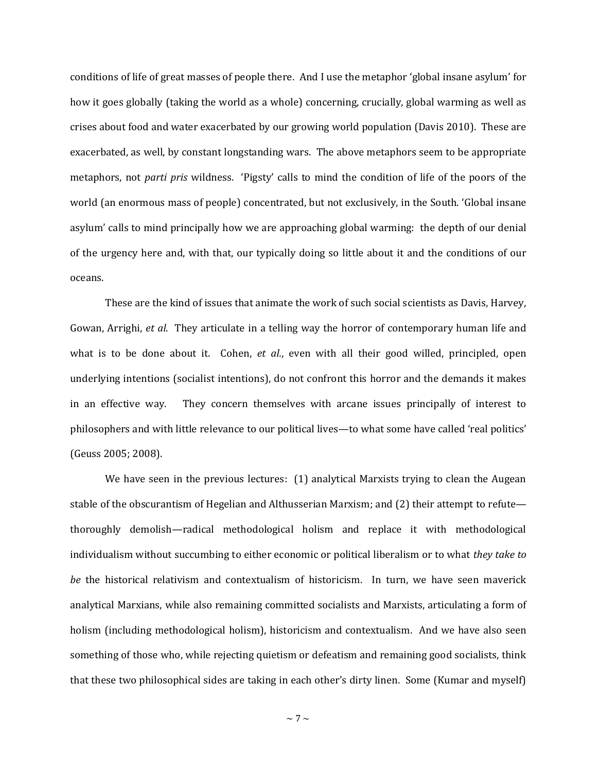conditions of life of great masses of people there. And I use the metaphor 'global insane asylum' for how it goes globally (taking the world as a whole) concerning, crucially, global warming as well as crises about food and water exacerbated by our growing world population (Davis 2010). These are exacerbated, as well, by constant longstanding wars. The above metaphors seem to be appropriate metaphors, not *parti pris* wildness. 'Pigsty' calls to mind the condition of life of the poors of the world (an enormous mass of people) concentrated, but not exclusively, in the South. 'Global insane asylum' calls to mind principally how we are approaching global warming: the depth of our denial of the urgency here and, with that, our typically doing so little about it and the conditions of our oceans.

These are the kind of issues that animate the work of such social scientists as Davis, Harvey, Gowan, Arrighi, *et al*. They articulate in a telling way the horror of contemporary human life and what is to be done about it. Cohen, *et al.*, even with all their good willed, principled, open underlying intentions (socialist intentions), do not confront this horror and the demands it makes in an effective way. They concern themselves with arcane issues principally of interest to philosophers and with little relevance to our political lives—to what some have called 'real politics' (Geuss 2005; 2008).

We have seen in the previous lectures: (1) analytical Marxists trying to clean the Augean stable of the obscurantism of Hegelian and Althusserian Marxism; and (2) their attempt to refute thoroughly demolish—radical methodological holism and replace it with methodological individualism without succumbing to either economic or political liberalism or to what *they take to be* the historical relativism and contextualism of historicism. In turn, we have seen maverick analytical Marxians, while also remaining committed socialists and Marxists, articulating a form of holism (including methodological holism), historicism and contextualism. And we have also seen something of those who, while rejecting quietism or defeatism and remaining good socialists, think that these two philosophical sides are taking in each other's dirty linen. Some (Kumar and myself)

 $\sim$  7  $\sim$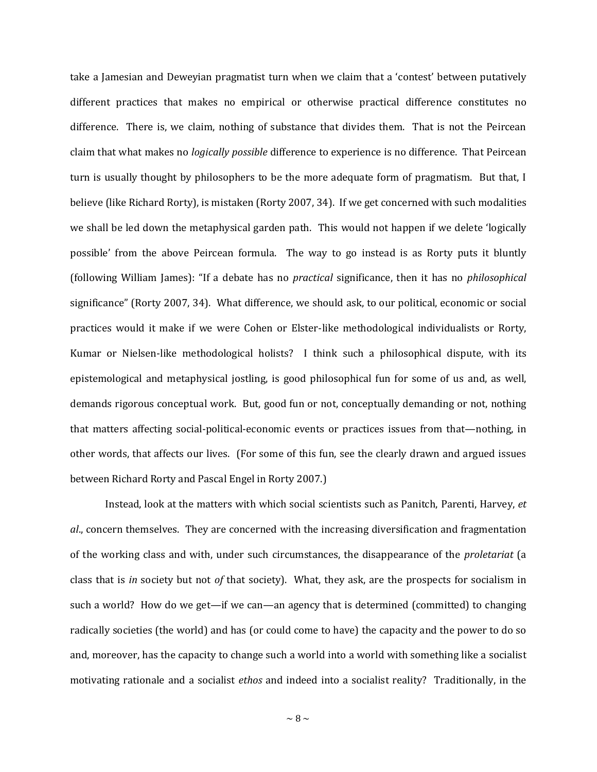take a Jamesian and Deweyian pragmatist turn when we claim that a 'contest' between putatively different practices that makes no empirical or otherwise practical difference constitutes no difference. There is, we claim, nothing of substance that divides them. That is not the Peircean claim that what makes no *logically possible* difference to experience is no difference. That Peircean turn is usually thought by philosophers to be the more adequate form of pragmatism. But that, I believe (like Richard Rorty), is mistaken (Rorty 2007, 34). If we get concerned with such modalities we shall be led down the metaphysical garden path. This would not happen if we delete 'logically possible' from the above Peircean formula. The way to go instead is as Rorty puts it bluntly (following William James): "If a debate has no *practical* significance, then it has no *philosophical*  significance" (Rorty 2007, 34). What difference, we should ask, to our political, economic or social practices would it make if we were Cohen or Elster-like methodological individualists or Rorty, Kumar or Nielsen-like methodological holists? I think such a philosophical dispute, with its epistemological and metaphysical jostling, is good philosophical fun for some of us and, as well, demands rigorous conceptual work. But, good fun or not, conceptually demanding or not, nothing that matters affecting social-political-economic events or practices issues from that—nothing, in other words, that affects our lives. (For some of this fun, see the clearly drawn and argued issues between Richard Rorty and Pascal Engel in Rorty 2007.)

Instead, look at the matters with which social scientists such as Panitch, Parenti, Harvey, *et al*., concern themselves. They are concerned with the increasing diversification and fragmentation of the working class and with, under such circumstances, the disappearance of the *proletariat* (a class that is *in* society but not *of* that society). What, they ask, are the prospects for socialism in such a world? How do we get—if we can—an agency that is determined (committed) to changing radically societies (the world) and has (or could come to have) the capacity and the power to do so and, moreover, has the capacity to change such a world into a world with something like a socialist motivating rationale and a socialist *ethos* and indeed into a socialist reality? Traditionally, in the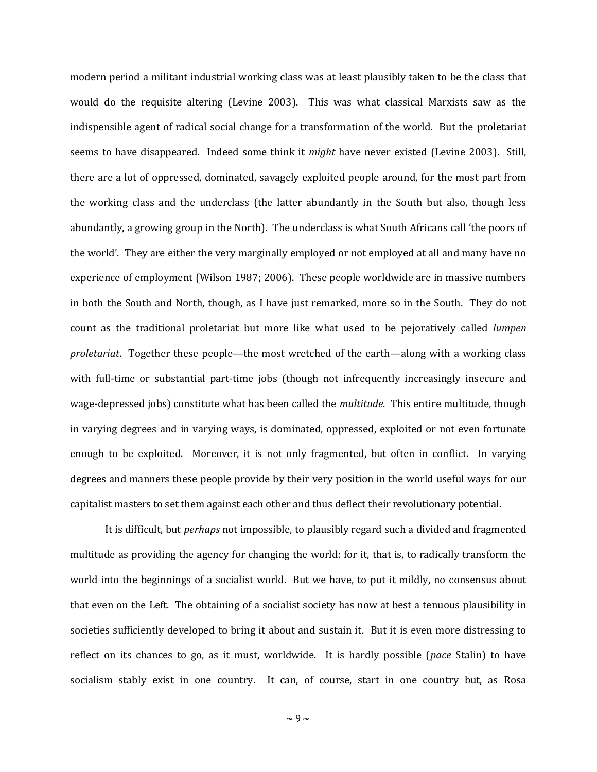modern period a militant industrial working class was at least plausibly taken to be the class that would do the requisite altering (Levine 2003). This was what classical Marxists saw as the indispensible agent of radical social change for a transformation of the world. But the proletariat seems to have disappeared. Indeed some think it *might* have never existed (Levine 2003). Still, there are a lot of oppressed, dominated, savagely exploited people around, for the most part from the working class and the underclass (the latter abundantly in the South but also, though less abundantly, a growing group in the North). The underclass is what South Africans call 'the poors of the world'. They are either the very marginally employed or not employed at all and many have no experience of employment (Wilson 1987; 2006). These people worldwide are in massive numbers in both the South and North, though, as I have just remarked, more so in the South. They do not count as the traditional proletariat but more like what used to be pejoratively called *lumpen proletariat*. Together these people—the most wretched of the earth—along with a working class with full-time or substantial part-time jobs (though not infrequently increasingly insecure and wage-depressed jobs) constitute what has been called the *multitude*. This entire multitude, though in varying degrees and in varying ways, is dominated, oppressed, exploited or not even fortunate enough to be exploited. Moreover, it is not only fragmented, but often in conflict. In varying degrees and manners these people provide by their very position in the world useful ways for our capitalist masters to set them against each other and thus deflect their revolutionary potential.

It is difficult, but *perhaps* not impossible, to plausibly regard such a divided and fragmented multitude as providing the agency for changing the world: for it, that is, to radically transform the world into the beginnings of a socialist world. But we have, to put it mildly, no consensus about that even on the Left. The obtaining of a socialist society has now at best a tenuous plausibility in societies sufficiently developed to bring it about and sustain it. But it is even more distressing to reflect on its chances to go, as it must, worldwide. It is hardly possible (*pace* Stalin) to have socialism stably exist in one country. It can, of course, start in one country but, as Rosa

 $\sim$  9  $\sim$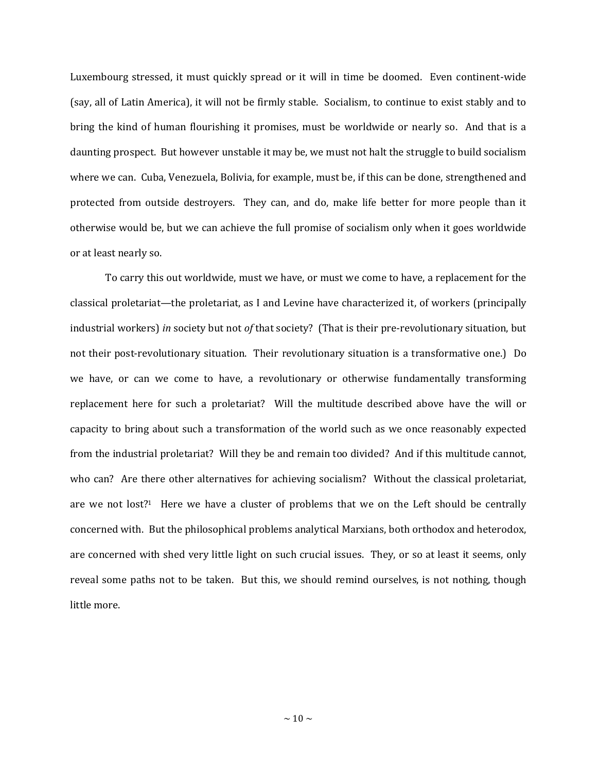Luxembourg stressed, it must quickly spread or it will in time be doomed. Even continent-wide (say, all of Latin America), it will not be firmly stable. Socialism, to continue to exist stably and to bring the kind of human flourishing it promises, must be worldwide or nearly so. And that is a daunting prospect. But however unstable it may be, we must not halt the struggle to build socialism where we can. Cuba, Venezuela, Bolivia, for example, must be, if this can be done, strengthened and protected from outside destroyers. They can, and do, make life better for more people than it otherwise would be, but we can achieve the full promise of socialism only when it goes worldwide or at least nearly so.

To carry this out worldwide, must we have, or must we come to have, a replacement for the classical proletariat—the proletariat, as I and Levine have characterized it, of workers (principally industrial workers) *in* society but not *of* that society? (That is their pre-revolutionary situation, but not their post-revolutionary situation. Their revolutionary situation is a transformative one.) Do we have, or can we come to have, a revolutionary or otherwise fundamentally transforming replacement here for such a proletariat? Will the multitude described above have the will or capacity to bring about such a transformation of the world such as we once reasonably expected from the industrial proletariat? Will they be and remain too divided? And if this multitude cannot, who can? Are there other alternatives for achieving socialism? Without the classical proletariat, are we not lost?1 Here we have a cluster of problems that we on the Left should be centrally concerned with. But the philosophical problems analytical Marxians, both orthodox and heterodox, are concerned with shed very little light on such crucial issues. They, or so at least it seems, only reveal some paths not to be taken. But this, we should remind ourselves, is not nothing, though little more.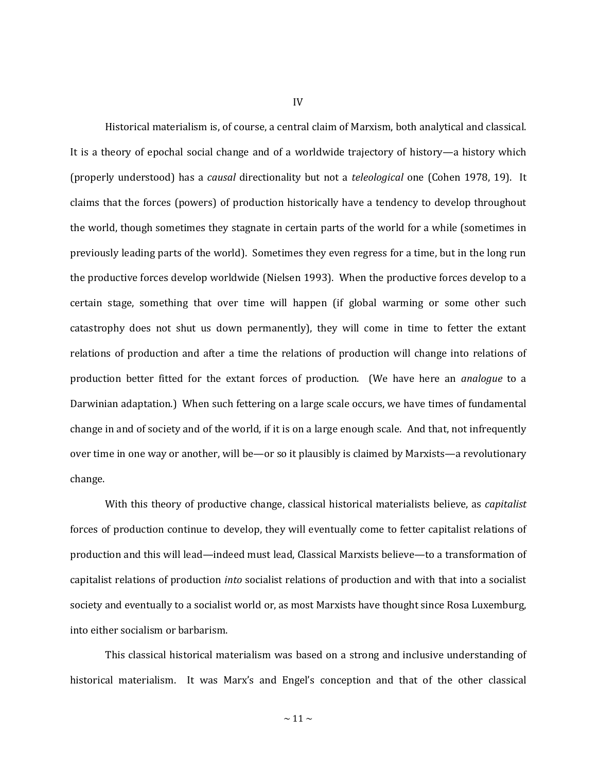Historical materialism is, of course, a central claim of Marxism, both analytical and classical. It is a theory of epochal social change and of a worldwide trajectory of history—a history which (properly understood) has a *causal* directionality but not a *teleological* one (Cohen 1978, 19). It claims that the forces (powers) of production historically have a tendency to develop throughout the world, though sometimes they stagnate in certain parts of the world for a while (sometimes in previously leading parts of the world). Sometimes they even regress for a time, but in the long run the productive forces develop worldwide (Nielsen 1993). When the productive forces develop to a certain stage, something that over time will happen (if global warming or some other such catastrophy does not shut us down permanently), they will come in time to fetter the extant relations of production and after a time the relations of production will change into relations of production better fitted for the extant forces of production. (We have here an *analogue* to a Darwinian adaptation.) When such fettering on a large scale occurs, we have times of fundamental change in and of society and of the world, if it is on a large enough scale. And that, not infrequently over time in one way or another, will be—or so it plausibly is claimed by Marxists—a revolutionary change.

With this theory of productive change, classical historical materialists believe, as *capitalist* forces of production continue to develop, they will eventually come to fetter capitalist relations of production and this will lead—indeed must lead, Classical Marxists believe—to a transformation of capitalist relations of production *into* socialist relations of production and with that into a socialist society and eventually to a socialist world or, as most Marxists have thought since Rosa Luxemburg, into either socialism or barbarism.

This classical historical materialism was based on a strong and inclusive understanding of historical materialism. It was Marx's and Engel's conception and that of the other classical

IV

 $\sim$  11  $\sim$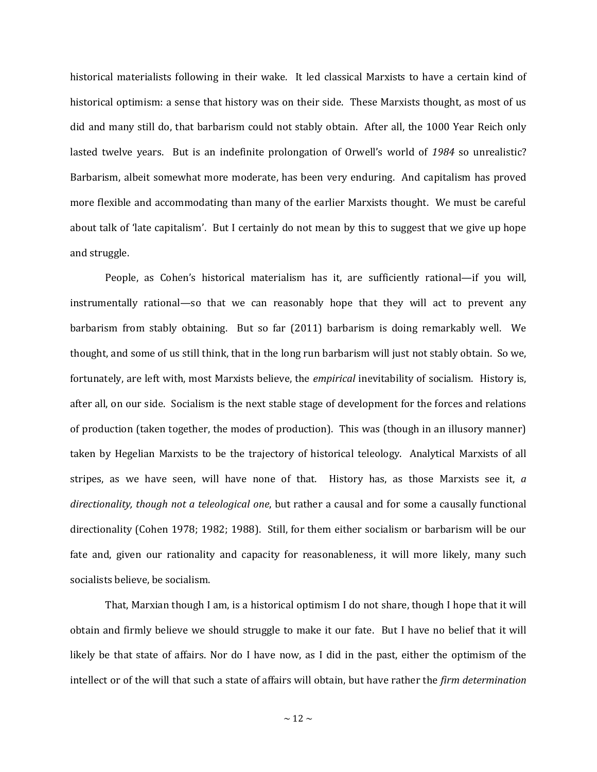historical materialists following in their wake. It led classical Marxists to have a certain kind of historical optimism: a sense that history was on their side. These Marxists thought, as most of us did and many still do, that barbarism could not stably obtain. After all, the 1000 Year Reich only lasted twelve years. But is an indefinite prolongation of Orwell's world of *1984* so unrealistic? Barbarism, albeit somewhat more moderate, has been very enduring. And capitalism has proved more flexible and accommodating than many of the earlier Marxists thought. We must be careful about talk of 'late capitalism'. But I certainly do not mean by this to suggest that we give up hope and struggle.

People, as Cohen's historical materialism has it, are sufficiently rational—if you will, instrumentally rational—so that we can reasonably hope that they will act to prevent any barbarism from stably obtaining. But so far (2011) barbarism is doing remarkably well. We thought, and some of us still think, that in the long run barbarism will just not stably obtain. So we, fortunately, are left with, most Marxists believe, the *empirical* inevitability of socialism. History is, after all, on our side. Socialism is the next stable stage of development for the forces and relations of production (taken together, the modes of production). This was (though in an illusory manner) taken by Hegelian Marxists to be the trajectory of historical teleology. Analytical Marxists of all stripes, as we have seen, will have none of that. History has, as those Marxists see it, *a directionality, though not a teleological one*, but rather a causal and for some a causally functional directionality (Cohen 1978; 1982; 1988). Still, for them either socialism or barbarism will be our fate and, given our rationality and capacity for reasonableness, it will more likely, many such socialists believe, be socialism.

That, Marxian though I am, is a historical optimism I do not share, though I hope that it will obtain and firmly believe we should struggle to make it our fate. But I have no belief that it will likely be that state of affairs. Nor do I have now, as I did in the past, either the optimism of the intellect or of the will that such a state of affairs will obtain, but have rather the *firm determination*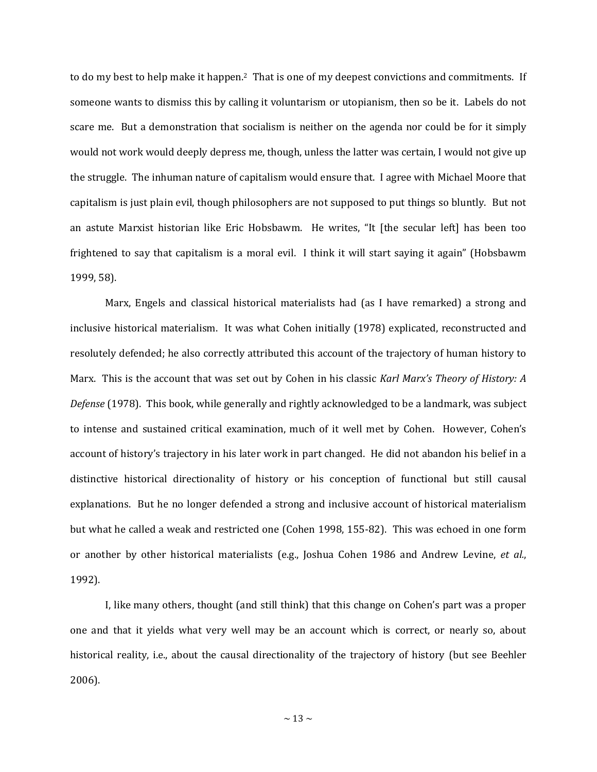to do my best to help make it happen.2 That is one of my deepest convictions and commitments. If someone wants to dismiss this by calling it voluntarism or utopianism, then so be it. Labels do not scare me. But a demonstration that socialism is neither on the agenda nor could be for it simply would not work would deeply depress me, though, unless the latter was certain, I would not give up the struggle. The inhuman nature of capitalism would ensure that. I agree with Michael Moore that capitalism is just plain evil, though philosophers are not supposed to put things so bluntly. But not an astute Marxist historian like Eric Hobsbawm. He writes, "It [the secular left] has been too frightened to say that capitalism is a moral evil. I think it will start saying it again" (Hobsbawm 1999, 58).

Marx, Engels and classical historical materialists had (as I have remarked) a strong and inclusive historical materialism. It was what Cohen initially (1978) explicated, reconstructed and resolutely defended; he also correctly attributed this account of the trajectory of human history to Marx. This is the account that was set out by Cohen in his classic *Karl Marx's Theory of History: A Defense* (1978). This book, while generally and rightly acknowledged to be a landmark, was subject to intense and sustained critical examination, much of it well met by Cohen. However, Cohen's account of history's trajectory in his later work in part changed. He did not abandon his belief in a distinctive historical directionality of history or his conception of functional but still causal explanations. But he no longer defended a strong and inclusive account of historical materialism but what he called a weak and restricted one (Cohen 1998, 155-82). This was echoed in one form or another by other historical materialists (e.g., Joshua Cohen 1986 and Andrew Levine, *et al.*, 1992).

I, like many others, thought (and still think) that this change on Cohen's part was a proper one and that it yields what very well may be an account which is correct, or nearly so, about historical reality, i.e., about the causal directionality of the trajectory of history (but see Beehler 2006).

 $\sim$  13  $\sim$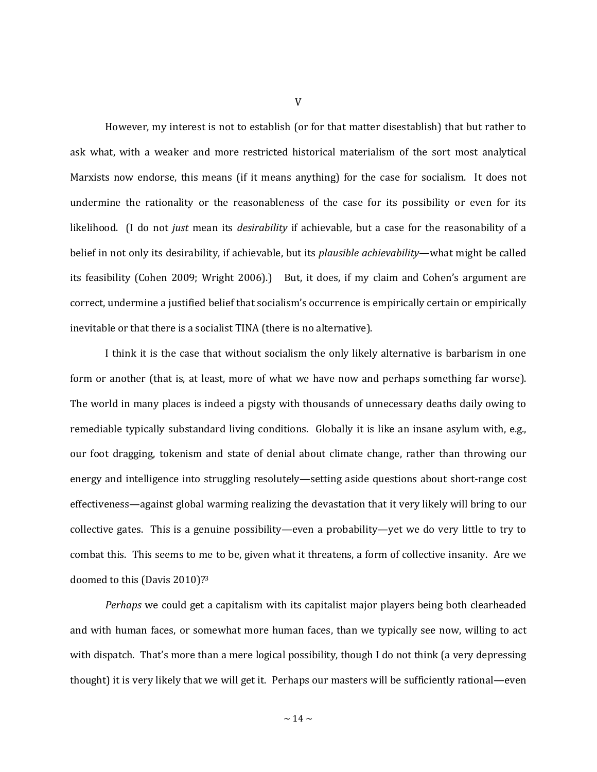However, my interest is not to establish (or for that matter disestablish) that but rather to ask what, with a weaker and more restricted historical materialism of the sort most analytical Marxists now endorse, this means (if it means anything) for the case for socialism. It does not undermine the rationality or the reasonableness of the case for its possibility or even for its likelihood. (I do not *just* mean its *desirability* if achievable, but a case for the reasonability of a belief in not only its desirability, if achievable, but its *plausible achievability*—what might be called its feasibility (Cohen 2009; Wright 2006).) But, it does, if my claim and Cohen's argument are correct, undermine a justified belief that socialism's occurrence is empirically certain or empirically inevitable or that there is a socialist TINA (there is no alternative).

I think it is the case that without socialism the only likely alternative is barbarism in one form or another (that is, at least, more of what we have now and perhaps something far worse). The world in many places is indeed a pigsty with thousands of unnecessary deaths daily owing to remediable typically substandard living conditions. Globally it is like an insane asylum with, e.g., our foot dragging, tokenism and state of denial about climate change, rather than throwing our energy and intelligence into struggling resolutely—setting aside questions about short-range cost effectiveness—against global warming realizing the devastation that it very likely will bring to our collective gates. This is a genuine possibility—even a probability—yet we do very little to try to combat this. This seems to me to be, given what it threatens, a form of collective insanity. Are we doomed to this (Davis 2010)?<sup>3</sup>

*Perhaps* we could get a capitalism with its capitalist major players being both clearheaded and with human faces, or somewhat more human faces, than we typically see now, willing to act with dispatch. That's more than a mere logical possibility, though I do not think (a very depressing thought) it is very likely that we will get it. Perhaps our masters will be sufficiently rational—even

V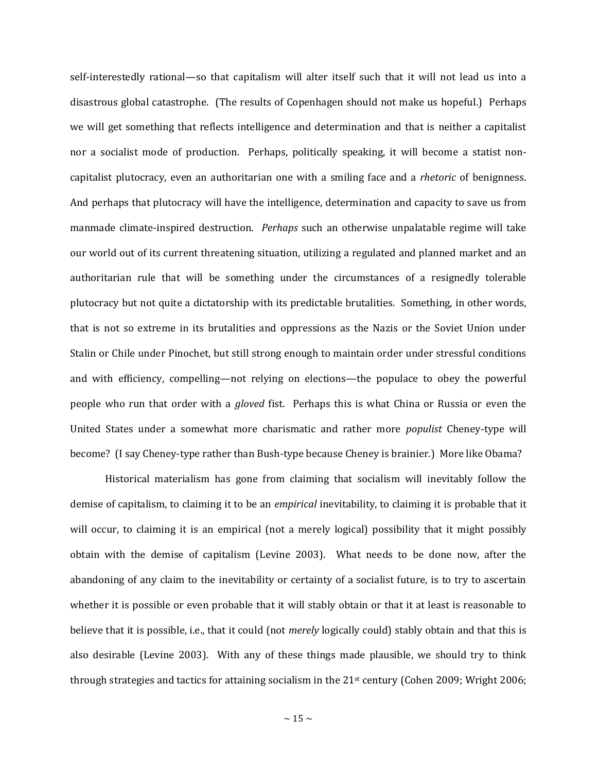self-interestedly rational—so that capitalism will alter itself such that it will not lead us into a disastrous global catastrophe. (The results of Copenhagen should not make us hopeful.) Perhaps we will get something that reflects intelligence and determination and that is neither a capitalist nor a socialist mode of production. Perhaps, politically speaking, it will become a statist noncapitalist plutocracy, even an authoritarian one with a smiling face and a *rhetoric* of benignness. And perhaps that plutocracy will have the intelligence, determination and capacity to save us from manmade climate-inspired destruction. *Perhaps* such an otherwise unpalatable regime will take our world out of its current threatening situation, utilizing a regulated and planned market and an authoritarian rule that will be something under the circumstances of a resignedly tolerable plutocracy but not quite a dictatorship with its predictable brutalities. Something, in other words, that is not so extreme in its brutalities and oppressions as the Nazis or the Soviet Union under Stalin or Chile under Pinochet, but still strong enough to maintain order under stressful conditions and with efficiency, compelling—not relying on elections—the populace to obey the powerful people who run that order with a *gloved* fist. Perhaps this is what China or Russia or even the United States under a somewhat more charismatic and rather more *populist* Cheney-type will become? (I say Cheney-type rather than Bush-type because Cheney is brainier.) More like Obama?

Historical materialism has gone from claiming that socialism will inevitably follow the demise of capitalism, to claiming it to be an *empirical* inevitability, to claiming it is probable that it will occur, to claiming it is an empirical (not a merely logical) possibility that it might possibly obtain with the demise of capitalism (Levine 2003). What needs to be done now, after the abandoning of any claim to the inevitability or certainty of a socialist future, is to try to ascertain whether it is possible or even probable that it will stably obtain or that it at least is reasonable to believe that it is possible, i.e., that it could (not *merely* logically could) stably obtain and that this is also desirable (Levine 2003). With any of these things made plausible, we should try to think through strategies and tactics for attaining socialism in the 21st century (Cohen 2009; Wright 2006;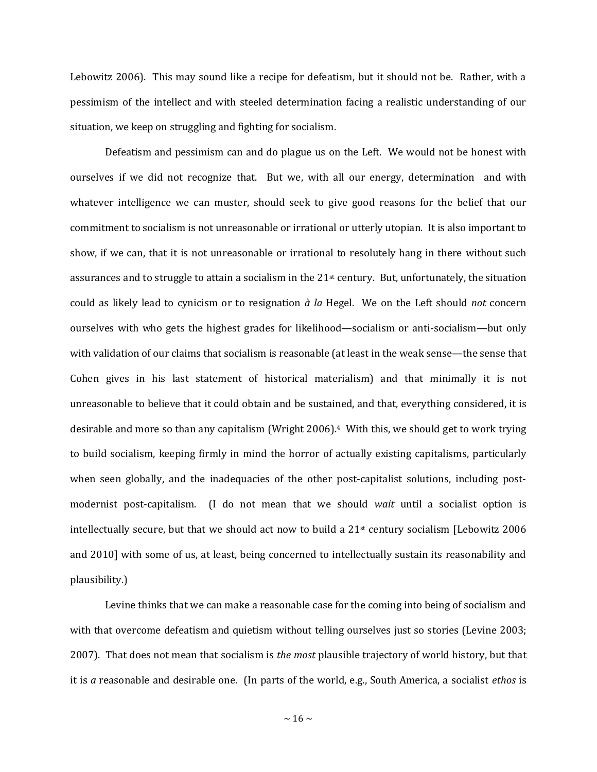Lebowitz 2006). This may sound like a recipe for defeatism, but it should not be. Rather, with a pessimism of the intellect and with steeled determination facing a realistic understanding of our situation, we keep on struggling and fighting for socialism.

Defeatism and pessimism can and do plague us on the Left. We would not be honest with ourselves if we did not recognize that. But we, with all our energy, determination and with whatever intelligence we can muster, should seek to give good reasons for the belief that our commitment to socialism is not unreasonable or irrational or utterly utopian. It is also important to show, if we can, that it is not unreasonable or irrational to resolutely hang in there without such assurances and to struggle to attain a socialism in the 21st century. But, unfortunately, the situation could as likely lead to cynicism or to resignation *à la* Hegel. We on the Left should *not* concern ourselves with who gets the highest grades for likelihood—socialism or anti-socialism—but only with validation of our claims that socialism is reasonable (at least in the weak sense—the sense that Cohen gives in his last statement of historical materialism) and that minimally it is not unreasonable to believe that it could obtain and be sustained, and that, everything considered, it is desirable and more so than any capitalism (Wright 2006). <sup>4</sup> With this, we should get to work trying to build socialism, keeping firmly in mind the horror of actually existing capitalisms, particularly when seen globally, and the inadequacies of the other post-capitalist solutions, including postmodernist post-capitalism. (I do not mean that we should *wait* until a socialist option is intellectually secure, but that we should act now to build a  $21<sup>st</sup>$  century socialism [Lebowitz 2006] and 2010] with some of us, at least, being concerned to intellectually sustain its reasonability and plausibility.)

Levine thinks that we can make a reasonable case for the coming into being of socialism and with that overcome defeatism and quietism without telling ourselves just so stories (Levine 2003; 2007). That does not mean that socialism is *the most* plausible trajectory of world history, but that it is *a* reasonable and desirable one. (In parts of the world, e.g., South America, a socialist *ethos* is

 $\sim$  16  $\sim$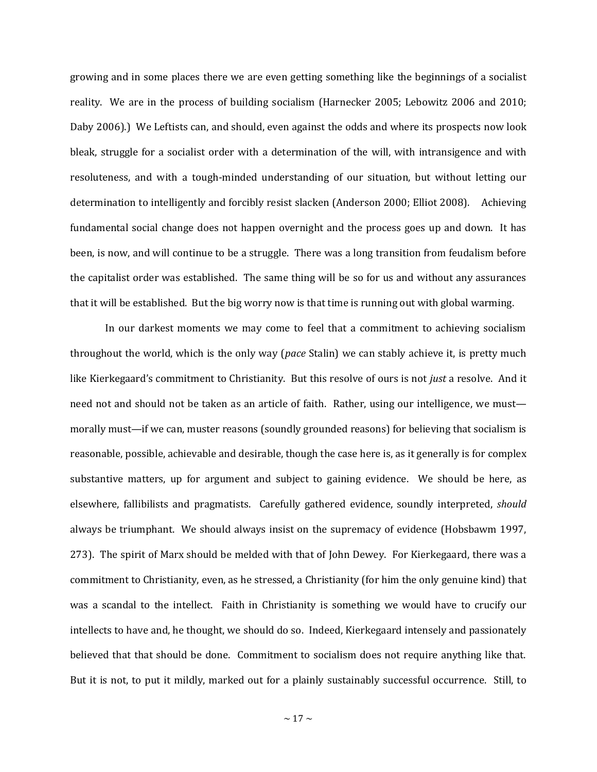growing and in some places there we are even getting something like the beginnings of a socialist reality. We are in the process of building socialism (Harnecker 2005; Lebowitz 2006 and 2010; Daby 2006).) We Leftists can, and should, even against the odds and where its prospects now look bleak, struggle for a socialist order with a determination of the will, with intransigence and with resoluteness, and with a tough-minded understanding of our situation, but without letting our determination to intelligently and forcibly resist slacken (Anderson 2000; Elliot 2008). Achieving fundamental social change does not happen overnight and the process goes up and down. It has been, is now, and will continue to be a struggle. There was a long transition from feudalism before the capitalist order was established. The same thing will be so for us and without any assurances that it will be established. But the big worry now is that time is running out with global warming.

In our darkest moments we may come to feel that a commitment to achieving socialism throughout the world, which is the only way (*pace* Stalin) we can stably achieve it, is pretty much like Kierkegaard's commitment to Christianity. But this resolve of ours is not *just* a resolve. And it need not and should not be taken as an article of faith. Rather, using our intelligence, we must morally must—if we can, muster reasons (soundly grounded reasons) for believing that socialism is reasonable, possible, achievable and desirable, though the case here is, as it generally is for complex substantive matters, up for argument and subject to gaining evidence. We should be here, as elsewhere, fallibilists and pragmatists. Carefully gathered evidence, soundly interpreted, *should* always be triumphant. We should always insist on the supremacy of evidence (Hobsbawm 1997, 273). The spirit of Marx should be melded with that of John Dewey. For Kierkegaard, there was a commitment to Christianity, even, as he stressed, a Christianity (for him the only genuine kind) that was a scandal to the intellect. Faith in Christianity is something we would have to crucify our intellects to have and, he thought, we should do so. Indeed, Kierkegaard intensely and passionately believed that that should be done. Commitment to socialism does not require anything like that. But it is not, to put it mildly, marked out for a plainly sustainably successful occurrence. Still, to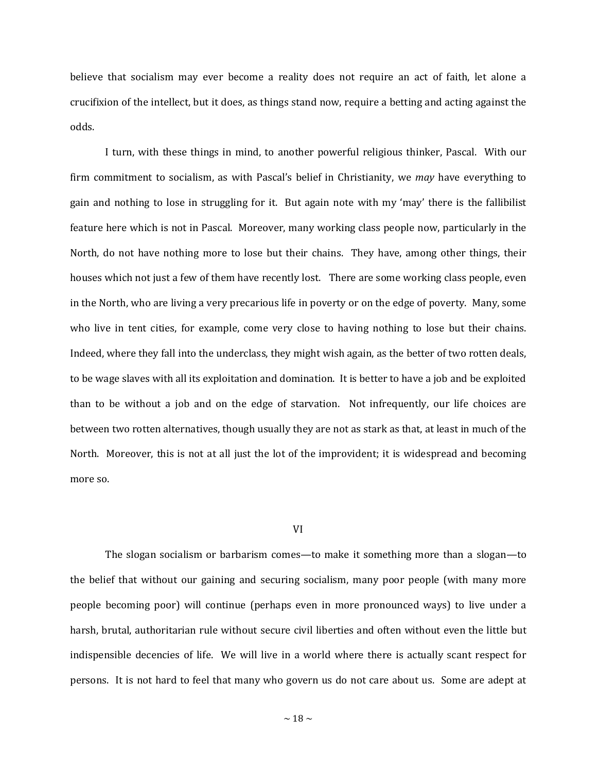believe that socialism may ever become a reality does not require an act of faith, let alone a crucifixion of the intellect, but it does, as things stand now, require a betting and acting against the odds.

I turn, with these things in mind, to another powerful religious thinker, Pascal. With our firm commitment to socialism, as with Pascal's belief in Christianity, we *may* have everything to gain and nothing to lose in struggling for it. But again note with my 'may' there is the fallibilist feature here which is not in Pascal. Moreover, many working class people now, particularly in the North, do not have nothing more to lose but their chains. They have, among other things, their houses which not just a few of them have recently lost. There are some working class people, even in the North, who are living a very precarious life in poverty or on the edge of poverty. Many, some who live in tent cities, for example, come very close to having nothing to lose but their chains. Indeed, where they fall into the underclass, they might wish again, as the better of two rotten deals, to be wage slaves with all its exploitation and domination. It is better to have a job and be exploited than to be without a job and on the edge of starvation. Not infrequently, our life choices are between two rotten alternatives, though usually they are not as stark as that, at least in much of the North. Moreover, this is not at all just the lot of the improvident; it is widespread and becoming more so.

#### VI

The slogan socialism or barbarism comes—to make it something more than a slogan—to the belief that without our gaining and securing socialism, many poor people (with many more people becoming poor) will continue (perhaps even in more pronounced ways) to live under a harsh, brutal, authoritarian rule without secure civil liberties and often without even the little but indispensible decencies of life. We will live in a world where there is actually scant respect for persons. It is not hard to feel that many who govern us do not care about us. Some are adept at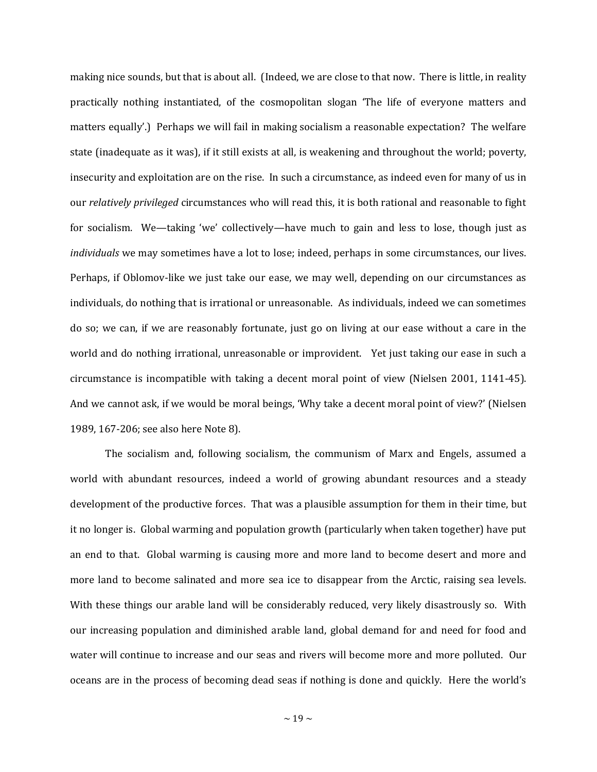making nice sounds, but that is about all. (Indeed, we are close to that now. There is little, in reality practically nothing instantiated, of the cosmopolitan slogan 'The life of everyone matters and matters equally'.) Perhaps we will fail in making socialism a reasonable expectation? The welfare state (inadequate as it was), if it still exists at all, is weakening and throughout the world; poverty, insecurity and exploitation are on the rise. In such a circumstance, as indeed even for many of us in our *relatively privileged* circumstances who will read this, it is both rational and reasonable to fight for socialism. We—taking 'we' collectively—have much to gain and less to lose, though just as *individuals* we may sometimes have a lot to lose; indeed, perhaps in some circumstances, our lives. Perhaps, if Oblomov-like we just take our ease, we may well, depending on our circumstances as individuals, do nothing that is irrational or unreasonable. As individuals, indeed we can sometimes do so; we can, if we are reasonably fortunate, just go on living at our ease without a care in the world and do nothing irrational, unreasonable or improvident. Yet just taking our ease in such a circumstance is incompatible with taking a decent moral point of view (Nielsen 2001, 1141-45). And we cannot ask, if we would be moral beings, 'Why take a decent moral point of view?' (Nielsen 1989, 167-206; see also here Note 8).

The socialism and, following socialism, the communism of Marx and Engels, assumed a world with abundant resources, indeed a world of growing abundant resources and a steady development of the productive forces. That was a plausible assumption for them in their time, but it no longer is. Global warming and population growth (particularly when taken together) have put an end to that. Global warming is causing more and more land to become desert and more and more land to become salinated and more sea ice to disappear from the Arctic, raising sea levels. With these things our arable land will be considerably reduced, very likely disastrously so. With our increasing population and diminished arable land, global demand for and need for food and water will continue to increase and our seas and rivers will become more and more polluted. Our oceans are in the process of becoming dead seas if nothing is done and quickly. Here the world's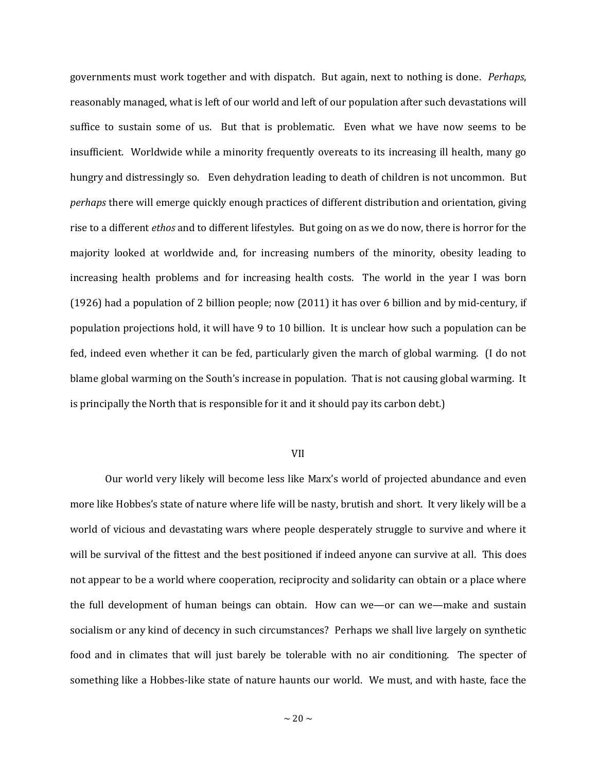governments must work together and with dispatch. But again, next to nothing is done. *Perhaps*, reasonably managed, what is left of our world and left of our population after such devastations will suffice to sustain some of us. But that is problematic. Even what we have now seems to be insufficient. Worldwide while a minority frequently overeats to its increasing ill health, many go hungry and distressingly so. Even dehydration leading to death of children is not uncommon. But *perhaps* there will emerge quickly enough practices of different distribution and orientation, giving rise to a different *ethos* and to different lifestyles. But going on as we do now, there is horror for the majority looked at worldwide and, for increasing numbers of the minority, obesity leading to increasing health problems and for increasing health costs. The world in the year I was born (1926) had a population of 2 billion people; now (2011) it has over 6 billion and by mid-century, if population projections hold, it will have 9 to 10 billion. It is unclear how such a population can be fed, indeed even whether it can be fed, particularly given the march of global warming. (I do not blame global warming on the South's increase in population. That is not causing global warming. It is principally the North that is responsible for it and it should pay its carbon debt.)

### VII

Our world very likely will become less like Marx's world of projected abundance and even more like Hobbes's state of nature where life will be nasty, brutish and short. It very likely will be a world of vicious and devastating wars where people desperately struggle to survive and where it will be survival of the fittest and the best positioned if indeed anyone can survive at all. This does not appear to be a world where cooperation, reciprocity and solidarity can obtain or a place where the full development of human beings can obtain. How can we—or can we—make and sustain socialism or any kind of decency in such circumstances? Perhaps we shall live largely on synthetic food and in climates that will just barely be tolerable with no air conditioning. The specter of something like a Hobbes-like state of nature haunts our world. We must, and with haste, face the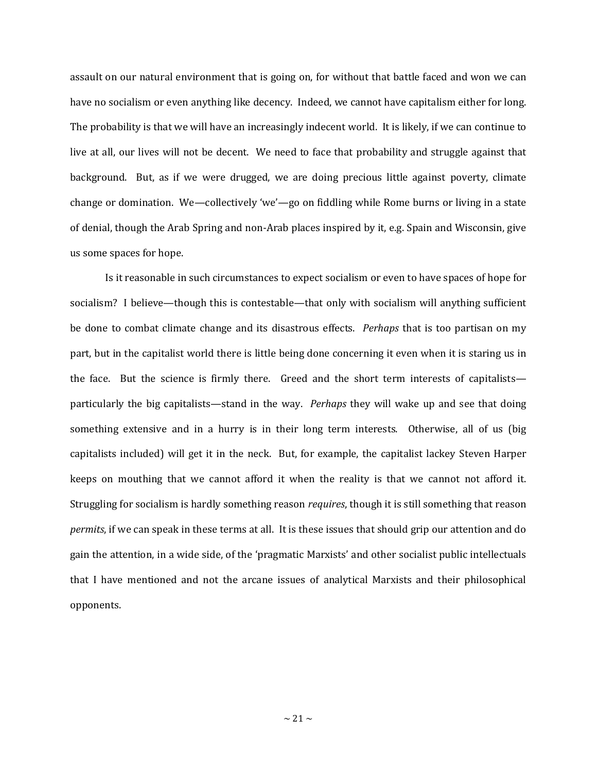assault on our natural environment that is going on, for without that battle faced and won we can have no socialism or even anything like decency. Indeed, we cannot have capitalism either for long. The probability is that we will have an increasingly indecent world. It is likely, if we can continue to live at all, our lives will not be decent. We need to face that probability and struggle against that background. But, as if we were drugged, we are doing precious little against poverty, climate change or domination. We—collectively 'we'—go on fiddling while Rome burns or living in a state of denial, though the Arab Spring and non-Arab places inspired by it, e.g. Spain and Wisconsin, give us some spaces for hope.

Is it reasonable in such circumstances to expect socialism or even to have spaces of hope for socialism? I believe—though this is contestable—that only with socialism will anything sufficient be done to combat climate change and its disastrous effects. *Perhaps* that is too partisan on my part, but in the capitalist world there is little being done concerning it even when it is staring us in the face. But the science is firmly there. Greed and the short term interests of capitalists particularly the big capitalists—stand in the way. *Perhaps* they will wake up and see that doing something extensive and in a hurry is in their long term interests. Otherwise, all of us (big capitalists included) will get it in the neck. But, for example, the capitalist lackey Steven Harper keeps on mouthing that we cannot afford it when the reality is that we cannot not afford it. Struggling for socialism is hardly something reason *requires*, though it is still something that reason *permits*, if we can speak in these terms at all. It is these issues that should grip our attention and do gain the attention, in a wide side, of the 'pragmatic Marxists' and other socialist public intellectuals that I have mentioned and not the arcane issues of analytical Marxists and their philosophical opponents.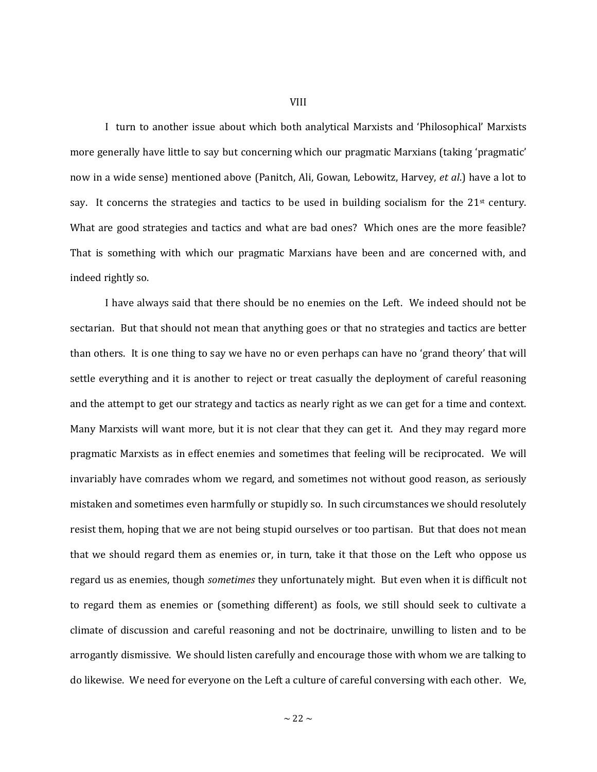I turn to another issue about which both analytical Marxists and 'Philosophical' Marxists more generally have little to say but concerning which our pragmatic Marxians (taking 'pragmatic' now in a wide sense) mentioned above (Panitch, Ali, Gowan, Lebowitz, Harvey, *et al*.) have a lot to say. It concerns the strategies and tactics to be used in building socialism for the  $21<sup>st</sup>$  century. What are good strategies and tactics and what are bad ones? Which ones are the more feasible? That is something with which our pragmatic Marxians have been and are concerned with, and indeed rightly so.

I have always said that there should be no enemies on the Left. We indeed should not be sectarian. But that should not mean that anything goes or that no strategies and tactics are better than others. It is one thing to say we have no or even perhaps can have no 'grand theory' that will settle everything and it is another to reject or treat casually the deployment of careful reasoning and the attempt to get our strategy and tactics as nearly right as we can get for a time and context. Many Marxists will want more, but it is not clear that they can get it. And they may regard more pragmatic Marxists as in effect enemies and sometimes that feeling will be reciprocated. We will invariably have comrades whom we regard, and sometimes not without good reason, as seriously mistaken and sometimes even harmfully or stupidly so. In such circumstances we should resolutely resist them, hoping that we are not being stupid ourselves or too partisan. But that does not mean that we should regard them as enemies or, in turn, take it that those on the Left who oppose us regard us as enemies, though *sometimes* they unfortunately might. But even when it is difficult not to regard them as enemies or (something different) as fools, we still should seek to cultivate a climate of discussion and careful reasoning and not be doctrinaire, unwilling to listen and to be arrogantly dismissive. We should listen carefully and encourage those with whom we are talking to do likewise. We need for everyone on the Left a culture of careful conversing with each other. We,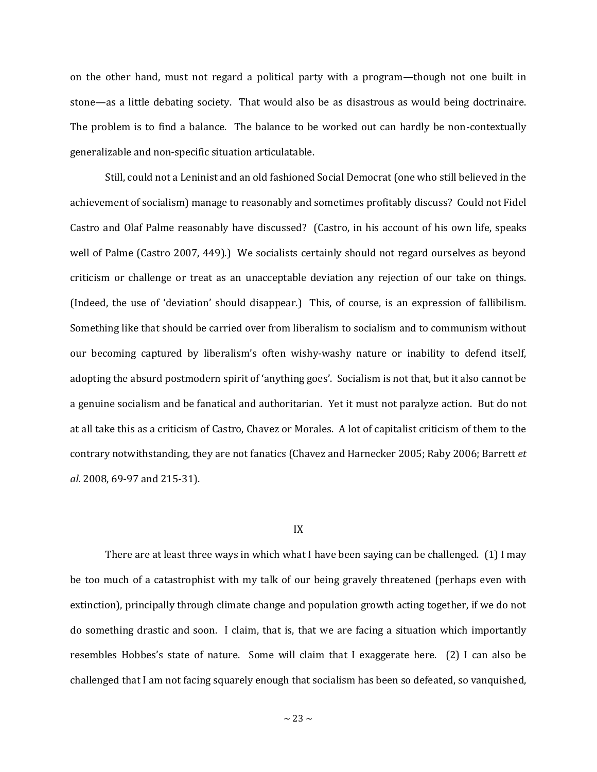on the other hand, must not regard a political party with a program—though not one built in stone—as a little debating society. That would also be as disastrous as would being doctrinaire. The problem is to find a balance. The balance to be worked out can hardly be non-contextually generalizable and non-specific situation articulatable.

Still, could not a Leninist and an old fashioned Social Democrat (one who still believed in the achievement of socialism) manage to reasonably and sometimes profitably discuss? Could not Fidel Castro and Olaf Palme reasonably have discussed? (Castro, in his account of his own life, speaks well of Palme (Castro 2007, 449).) We socialists certainly should not regard ourselves as beyond criticism or challenge or treat as an unacceptable deviation any rejection of our take on things. (Indeed, the use of 'deviation' should disappear.) This, of course, is an expression of fallibilism. Something like that should be carried over from liberalism to socialism and to communism without our becoming captured by liberalism's often wishy-washy nature or inability to defend itself, adopting the absurd postmodern spirit of 'anything goes'. Socialism is not that, but it also cannot be a genuine socialism and be fanatical and authoritarian. Yet it must not paralyze action. But do not at all take this as a criticism of Castro, Chavez or Morales. A lot of capitalist criticism of them to the contrary notwithstanding, they are not fanatics (Chavez and Harnecker 2005; Raby 2006; Barrett *et al.* 2008, 69-97 and 215-31).

### IX

There are at least three ways in which what I have been saying can be challenged. (1) I may be too much of a catastrophist with my talk of our being gravely threatened (perhaps even with extinction), principally through climate change and population growth acting together, if we do not do something drastic and soon. I claim, that is, that we are facing a situation which importantly resembles Hobbes's state of nature. Some will claim that I exaggerate here. (2) I can also be challenged that I am not facing squarely enough that socialism has been so defeated, so vanquished,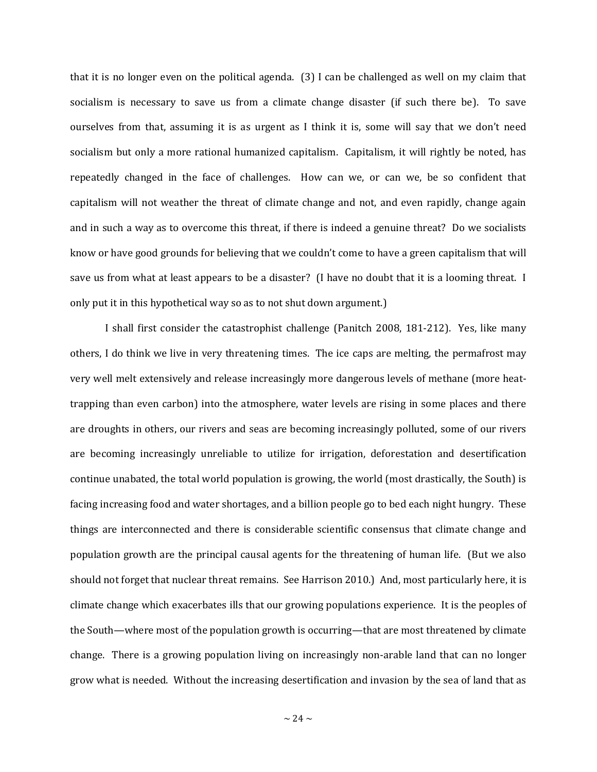that it is no longer even on the political agenda. (3) I can be challenged as well on my claim that socialism is necessary to save us from a climate change disaster (if such there be). To save ourselves from that, assuming it is as urgent as I think it is, some will say that we don't need socialism but only a more rational humanized capitalism. Capitalism, it will rightly be noted, has repeatedly changed in the face of challenges. How can we, or can we, be so confident that capitalism will not weather the threat of climate change and not, and even rapidly, change again and in such a way as to overcome this threat, if there is indeed a genuine threat? Do we socialists know or have good grounds for believing that we couldn't come to have a green capitalism that will save us from what at least appears to be a disaster? (I have no doubt that it is a looming threat. I only put it in this hypothetical way so as to not shut down argument.)

I shall first consider the catastrophist challenge (Panitch 2008, 181-212). Yes, like many others, I do think we live in very threatening times. The ice caps are melting, the permafrost may very well melt extensively and release increasingly more dangerous levels of methane (more heattrapping than even carbon) into the atmosphere, water levels are rising in some places and there are droughts in others, our rivers and seas are becoming increasingly polluted, some of our rivers are becoming increasingly unreliable to utilize for irrigation, deforestation and desertification continue unabated, the total world population is growing, the world (most drastically, the South) is facing increasing food and water shortages, and a billion people go to bed each night hungry. These things are interconnected and there is considerable scientific consensus that climate change and population growth are the principal causal agents for the threatening of human life. (But we also should not forget that nuclear threat remains. See Harrison 2010.) And, most particularly here, it is climate change which exacerbates ills that our growing populations experience. It is the peoples of the South—where most of the population growth is occurring—that are most threatened by climate change. There is a growing population living on increasingly non-arable land that can no longer grow what is needed. Without the increasing desertification and invasion by the sea of land that as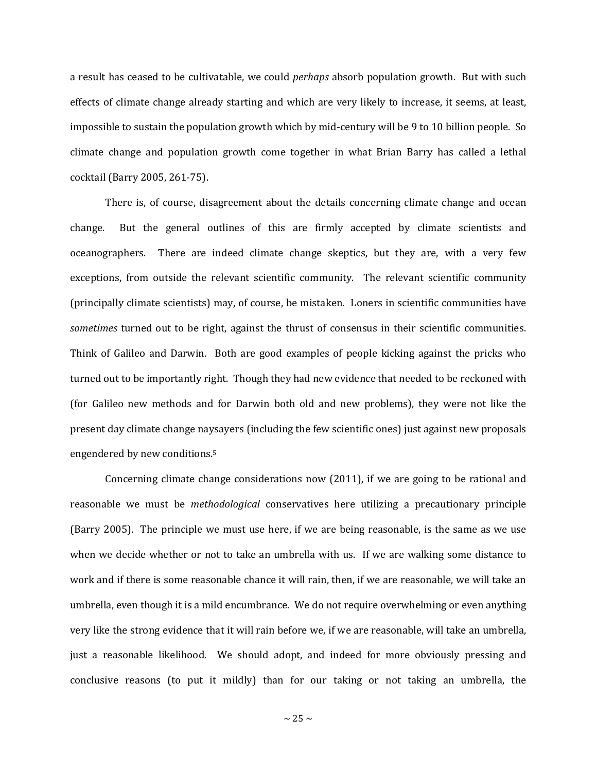a result has ceased to be cultivatable, we could *perhaps* absorb population growth. But with such effects of climate change already starting and which are very likely to increase, it seems, at least, impossible to sustain the population growth which by mid-century will be 9 to 10 billion people. So climate change and population growth come together in what Brian Barry has called a lethal cocktail (Barry 2005, 261-75).

There is, of course, disagreement about the details concerning climate change and ocean change. But the general outlines of this are firmly accepted by climate scientists and oceanographers. There are indeed climate change skeptics, but they are, with a very few exceptions, from outside the relevant scientific community. The relevant scientific community (principally climate scientists) may, of course, be mistaken. Loners in scientific communities have *sometimes* turned out to be right, against the thrust of consensus in their scientific communities. Think of Galileo and Darwin. Both are good examples of people kicking against the pricks who turned out to be importantly right. Though they had new evidence that needed to be reckoned with (for Galileo new methods and for Darwin both old and new problems), they were not like the present day climate change naysayers (including the few scientific ones) just against new proposals engendered by new conditions. 5

Concerning climate change considerations now (2011), if we are going to be rational and reasonable we must be *methodological* conservatives here utilizing a precautionary principle (Barry 2005). The principle we must use here, if we are being reasonable, is the same as we use when we decide whether or not to take an umbrella with us. If we are walking some distance to work and if there is some reasonable chance it will rain, then, if we are reasonable, we will take an umbrella, even though it is a mild encumbrance. We do not require overwhelming or even anything very like the strong evidence that it will rain before we, if we are reasonable, will take an umbrella, just a reasonable likelihood. We should adopt, and indeed for more obviously pressing and conclusive reasons (to put it mildly) than for our taking or not taking an umbrella, the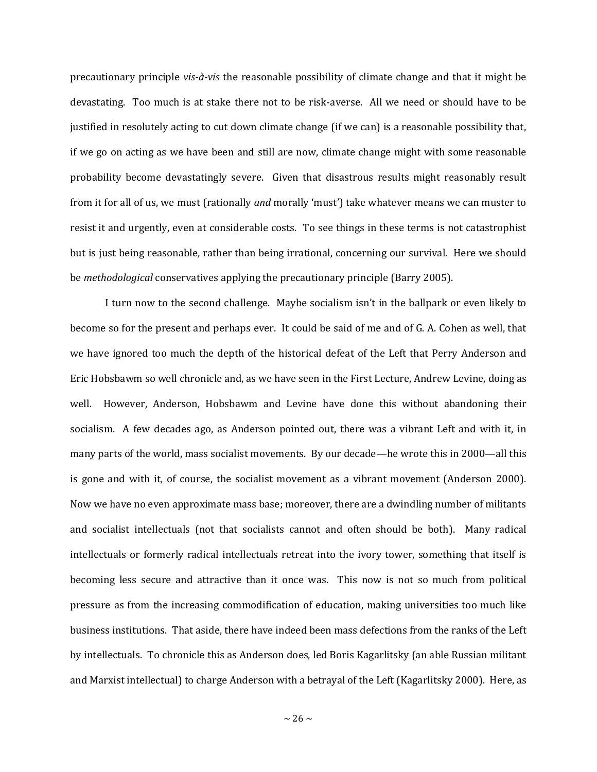precautionary principle *vis-à-vis* the reasonable possibility of climate change and that it might be devastating. Too much is at stake there not to be risk-averse. All we need or should have to be justified in resolutely acting to cut down climate change (if we can) is a reasonable possibility that, if we go on acting as we have been and still are now, climate change might with some reasonable probability become devastatingly severe. Given that disastrous results might reasonably result from it for all of us, we must (rationally *and* morally 'must') take whatever means we can muster to resist it and urgently, even at considerable costs. To see things in these terms is not catastrophist but is just being reasonable, rather than being irrational, concerning our survival. Here we should be *methodological* conservatives applying the precautionary principle (Barry 2005).

I turn now to the second challenge. Maybe socialism isn't in the ballpark or even likely to become so for the present and perhaps ever. It could be said of me and of G. A. Cohen as well, that we have ignored too much the depth of the historical defeat of the Left that Perry Anderson and Eric Hobsbawm so well chronicle and, as we have seen in the First Lecture, Andrew Levine, doing as well. However, Anderson, Hobsbawm and Levine have done this without abandoning their socialism. A few decades ago, as Anderson pointed out, there was a vibrant Left and with it, in many parts of the world, mass socialist movements. By our decade—he wrote this in 2000—all this is gone and with it, of course, the socialist movement as a vibrant movement (Anderson 2000). Now we have no even approximate mass base; moreover, there are a dwindling number of militants and socialist intellectuals (not that socialists cannot and often should be both). Many radical intellectuals or formerly radical intellectuals retreat into the ivory tower, something that itself is becoming less secure and attractive than it once was. This now is not so much from political pressure as from the increasing commodification of education, making universities too much like business institutions. That aside, there have indeed been mass defections from the ranks of the Left by intellectuals. To chronicle this as Anderson does, led Boris Kagarlitsky (an able Russian militant and Marxist intellectual) to charge Anderson with a betrayal of the Left (Kagarlitsky 2000). Here, as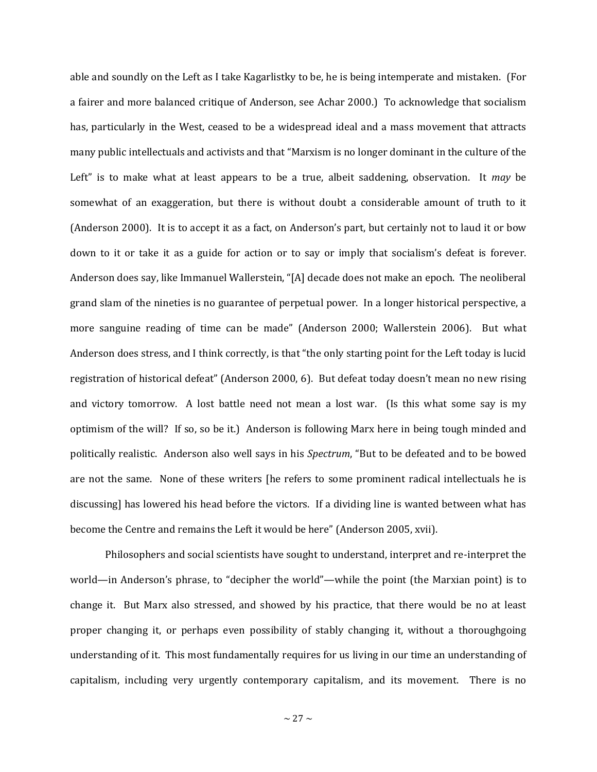able and soundly on the Left as I take Kagarlistky to be, he is being intemperate and mistaken. (For a fairer and more balanced critique of Anderson, see Achar 2000.) To acknowledge that socialism has, particularly in the West, ceased to be a widespread ideal and a mass movement that attracts many public intellectuals and activists and that "Marxism is no longer dominant in the culture of the Left" is to make what at least appears to be a true, albeit saddening, observation. It *may* be somewhat of an exaggeration, but there is without doubt a considerable amount of truth to it (Anderson 2000). It is to accept it as a fact, on Anderson's part, but certainly not to laud it or bow down to it or take it as a guide for action or to say or imply that socialism's defeat is forever. Anderson does say, like Immanuel Wallerstein, "[A] decade does not make an epoch. The neoliberal grand slam of the nineties is no guarantee of perpetual power. In a longer historical perspective, a more sanguine reading of time can be made" (Anderson 2000; Wallerstein 2006). But what Anderson does stress, and I think correctly, is that "the only starting point for the Left today is lucid registration of historical defeat" (Anderson 2000, 6). But defeat today doesn't mean no new rising and victory tomorrow. A lost battle need not mean a lost war. (Is this what some say is my optimism of the will? If so, so be it.) Anderson is following Marx here in being tough minded and politically realistic. Anderson also well says in his *Spectrum*, "But to be defeated and to be bowed are not the same. None of these writers [he refers to some prominent radical intellectuals he is discussing] has lowered his head before the victors. If a dividing line is wanted between what has become the Centre and remains the Left it would be here" (Anderson 2005, xvii).

Philosophers and social scientists have sought to understand, interpret and re-interpret the world—in Anderson's phrase, to "decipher the world"—while the point (the Marxian point) is to change it. But Marx also stressed, and showed by his practice, that there would be no at least proper changing it, or perhaps even possibility of stably changing it, without a thoroughgoing understanding of it. This most fundamentally requires for us living in our time an understanding of capitalism, including very urgently contemporary capitalism, and its movement. There is no

 $\sim$  27  $\sim$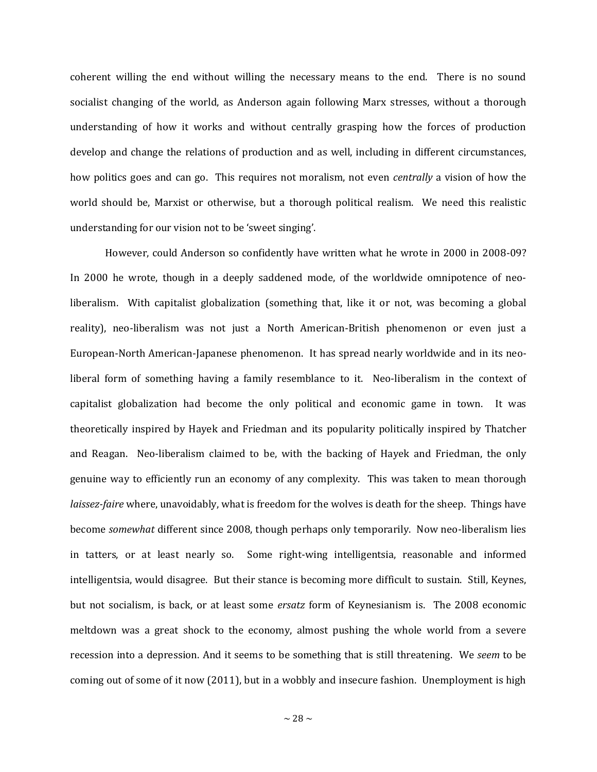coherent willing the end without willing the necessary means to the end. There is no sound socialist changing of the world, as Anderson again following Marx stresses, without a thorough understanding of how it works and without centrally grasping how the forces of production develop and change the relations of production and as well, including in different circumstances, how politics goes and can go. This requires not moralism, not even *centrally* a vision of how the world should be, Marxist or otherwise, but a thorough political realism. We need this realistic understanding for our vision not to be 'sweet singing'.

However, could Anderson so confidently have written what he wrote in 2000 in 2008-09? In 2000 he wrote, though in a deeply saddened mode, of the worldwide omnipotence of neoliberalism. With capitalist globalization (something that, like it or not, was becoming a global reality), neo-liberalism was not just a North American-British phenomenon or even just a European-North American-Japanese phenomenon. It has spread nearly worldwide and in its neoliberal form of something having a family resemblance to it. Neo-liberalism in the context of capitalist globalization had become the only political and economic game in town. It was theoretically inspired by Hayek and Friedman and its popularity politically inspired by Thatcher and Reagan. Neo-liberalism claimed to be, with the backing of Hayek and Friedman, the only genuine way to efficiently run an economy of any complexity. This was taken to mean thorough *laissez-faire* where, unavoidably, what is freedom for the wolves is death for the sheep. Things have become *somewhat* different since 2008, though perhaps only temporarily. Now neo-liberalism lies in tatters, or at least nearly so. Some right-wing intelligentsia, reasonable and informed intelligentsia, would disagree. But their stance is becoming more difficult to sustain. Still, Keynes, but not socialism, is back, or at least some *ersatz* form of Keynesianism is. The 2008 economic meltdown was a great shock to the economy, almost pushing the whole world from a severe recession into a depression. And it seems to be something that is still threatening. We *seem* to be coming out of some of it now (2011), but in a wobbly and insecure fashion. Unemployment is high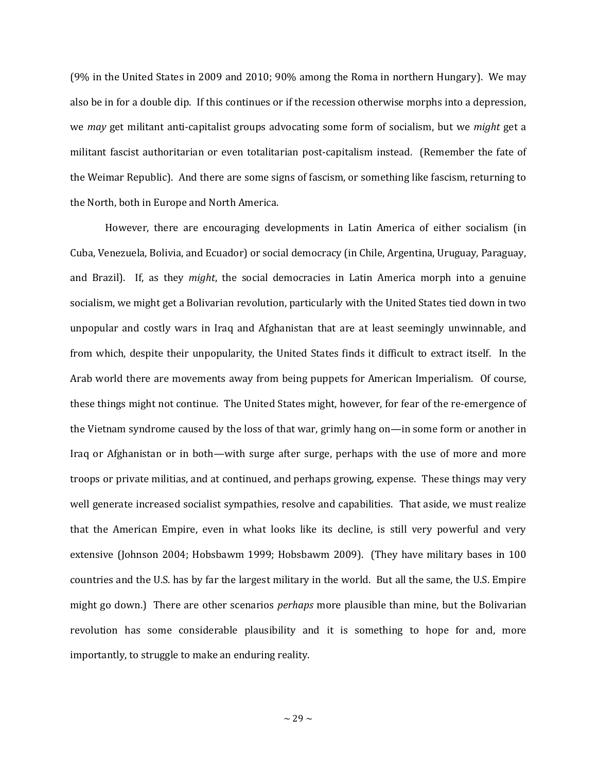(9% in the United States in 2009 and 2010; 90% among the Roma in northern Hungary). We may also be in for a double dip. If this continues or if the recession otherwise morphs into a depression, we *may* get militant anti-capitalist groups advocating some form of socialism, but we *might* get a militant fascist authoritarian or even totalitarian post-capitalism instead. (Remember the fate of the Weimar Republic). And there are some signs of fascism, or something like fascism, returning to the North, both in Europe and North America.

However, there are encouraging developments in Latin America of either socialism (in Cuba, Venezuela, Bolivia, and Ecuador) or social democracy (in Chile, Argentina, Uruguay, Paraguay, and Brazil). If, as they *might*, the social democracies in Latin America morph into a genuine socialism, we might get a Bolivarian revolution, particularly with the United States tied down in two unpopular and costly wars in Iraq and Afghanistan that are at least seemingly unwinnable, and from which, despite their unpopularity, the United States finds it difficult to extract itself. In the Arab world there are movements away from being puppets for American Imperialism. Of course, these things might not continue. The United States might, however, for fear of the re-emergence of the Vietnam syndrome caused by the loss of that war, grimly hang on—in some form or another in Iraq or Afghanistan or in both—with surge after surge, perhaps with the use of more and more troops or private militias, and at continued, and perhaps growing, expense. These things may very well generate increased socialist sympathies, resolve and capabilities. That aside, we must realize that the American Empire, even in what looks like its decline, is still very powerful and very extensive (Johnson 2004; Hobsbawm 1999; Hobsbawm 2009). (They have military bases in 100 countries and the U.S. has by far the largest military in the world. But all the same, the U.S. Empire might go down.) There are other scenarios *perhaps* more plausible than mine, but the Bolivarian revolution has some considerable plausibility and it is something to hope for and, more importantly, to struggle to make an enduring reality.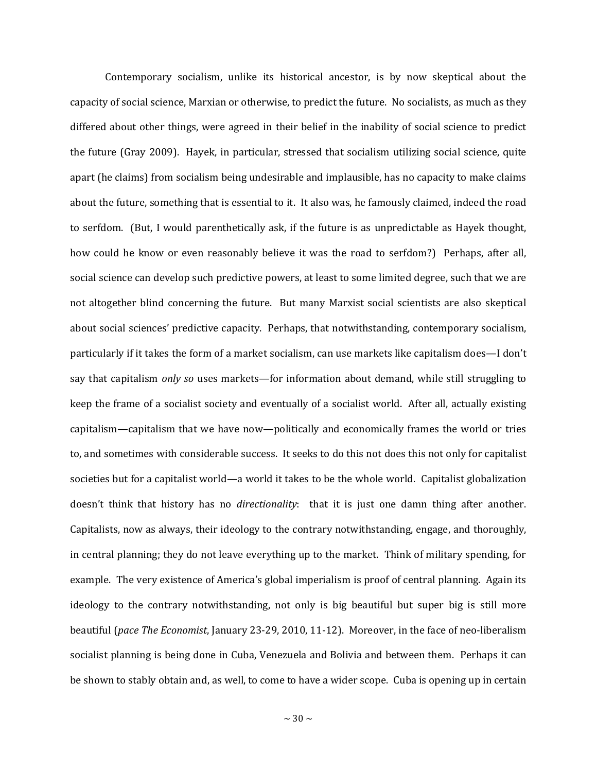Contemporary socialism, unlike its historical ancestor, is by now skeptical about the capacity of social science, Marxian or otherwise, to predict the future. No socialists, as much as they differed about other things, were agreed in their belief in the inability of social science to predict the future (Gray 2009). Hayek, in particular, stressed that socialism utilizing social science, quite apart (he claims) from socialism being undesirable and implausible, has no capacity to make claims about the future, something that is essential to it. It also was, he famously claimed, indeed the road to serfdom. (But, I would parenthetically ask, if the future is as unpredictable as Hayek thought, how could he know or even reasonably believe it was the road to serfdom?) Perhaps, after all, social science can develop such predictive powers, at least to some limited degree, such that we are not altogether blind concerning the future. But many Marxist social scientists are also skeptical about social sciences' predictive capacity. Perhaps, that notwithstanding, contemporary socialism, particularly if it takes the form of a market socialism, can use markets like capitalism does—I don't say that capitalism *only so* uses markets—for information about demand, while still struggling to keep the frame of a socialist society and eventually of a socialist world. After all, actually existing capitalism—capitalism that we have now—politically and economically frames the world or tries to, and sometimes with considerable success. It seeks to do this not does this not only for capitalist societies but for a capitalist world—a world it takes to be the whole world. Capitalist globalization doesn't think that history has no *directionality*: that it is just one damn thing after another. Capitalists, now as always, their ideology to the contrary notwithstanding, engage, and thoroughly, in central planning; they do not leave everything up to the market. Think of military spending, for example. The very existence of America's global imperialism is proof of central planning. Again its ideology to the contrary notwithstanding, not only is big beautiful but super big is still more beautiful (*pace The Economist*, January 23-29, 2010, 11-12). Moreover, in the face of neo-liberalism socialist planning is being done in Cuba, Venezuela and Bolivia and between them. Perhaps it can be shown to stably obtain and, as well, to come to have a wider scope. Cuba is opening up in certain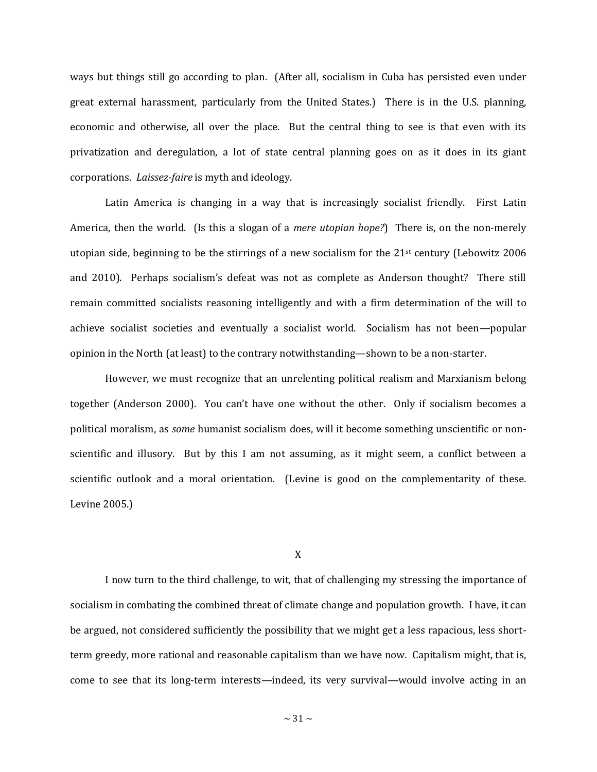ways but things still go according to plan. (After all, socialism in Cuba has persisted even under great external harassment, particularly from the United States.) There is in the U.S. planning, economic and otherwise, all over the place. But the central thing to see is that even with its privatization and deregulation, a lot of state central planning goes on as it does in its giant corporations. *Laissez-faire* is myth and ideology.

Latin America is changing in a way that is increasingly socialist friendly. First Latin America, then the world. (Is this a slogan of a *mere utopian hope?*) There is, on the non-merely utopian side, beginning to be the stirrings of a new socialism for the  $21<sup>st</sup>$  century (Lebowitz 2006) and 2010). Perhaps socialism's defeat was not as complete as Anderson thought? There still remain committed socialists reasoning intelligently and with a firm determination of the will to achieve socialist societies and eventually a socialist world. Socialism has not been—popular opinion in the North (at least) to the contrary notwithstanding—shown to be a non-starter.

However, we must recognize that an unrelenting political realism and Marxianism belong together (Anderson 2000). You can't have one without the other. Only if socialism becomes a political moralism, as *some* humanist socialism does, will it become something unscientific or nonscientific and illusory. But by this I am not assuming, as it might seem, a conflict between a scientific outlook and a moral orientation. (Levine is good on the complementarity of these. Levine 2005.)

X

I now turn to the third challenge, to wit, that of challenging my stressing the importance of socialism in combating the combined threat of climate change and population growth. I have, it can be argued, not considered sufficiently the possibility that we might get a less rapacious, less shortterm greedy, more rational and reasonable capitalism than we have now. Capitalism might, that is, come to see that its long-term interests—indeed, its very survival—would involve acting in an

 $\sim$  31  $\sim$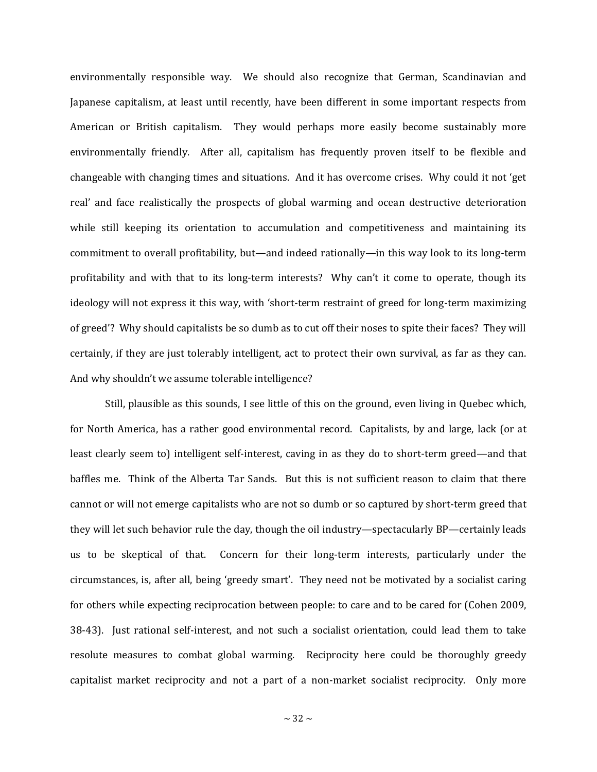environmentally responsible way. We should also recognize that German, Scandinavian and Japanese capitalism, at least until recently, have been different in some important respects from American or British capitalism. They would perhaps more easily become sustainably more environmentally friendly. After all, capitalism has frequently proven itself to be flexible and changeable with changing times and situations. And it has overcome crises. Why could it not 'get real' and face realistically the prospects of global warming and ocean destructive deterioration while still keeping its orientation to accumulation and competitiveness and maintaining its commitment to overall profitability, but—and indeed rationally—in this way look to its long-term profitability and with that to its long-term interests? Why can't it come to operate, though its ideology will not express it this way, with 'short-term restraint of greed for long-term maximizing of greed'? Why should capitalists be so dumb as to cut off their noses to spite their faces? They will certainly, if they are just tolerably intelligent, act to protect their own survival, as far as they can. And why shouldn't we assume tolerable intelligence?

Still, plausible as this sounds, I see little of this on the ground, even living in Quebec which, for North America, has a rather good environmental record. Capitalists, by and large, lack (or at least clearly seem to) intelligent self-interest, caving in as they do to short-term greed—and that baffles me. Think of the Alberta Tar Sands. But this is not sufficient reason to claim that there cannot or will not emerge capitalists who are not so dumb or so captured by short-term greed that they will let such behavior rule the day, though the oil industry—spectacularly BP—certainly leads us to be skeptical of that. Concern for their long-term interests, particularly under the circumstances, is, after all, being 'greedy smart'. They need not be motivated by a socialist caring for others while expecting reciprocation between people: to care and to be cared for (Cohen 2009, 38-43). Just rational self-interest, and not such a socialist orientation, could lead them to take resolute measures to combat global warming. Reciprocity here could be thoroughly greedy capitalist market reciprocity and not a part of a non-market socialist reciprocity. Only more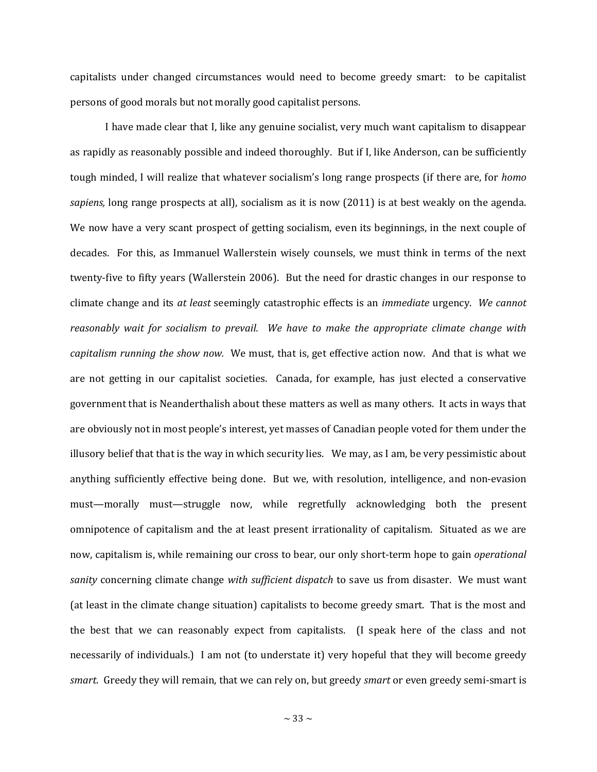capitalists under changed circumstances would need to become greedy smart: to be capitalist persons of good morals but not morally good capitalist persons.

I have made clear that I, like any genuine socialist, very much want capitalism to disappear as rapidly as reasonably possible and indeed thoroughly. But if I, like Anderson, can be sufficiently tough minded, I will realize that whatever socialism's long range prospects (if there are, for *homo sapiens,* long range prospects at all), socialism as it is now (2011) is at best weakly on the agenda. We now have a very scant prospect of getting socialism, even its beginnings, in the next couple of decades. For this, as Immanuel Wallerstein wisely counsels, we must think in terms of the next twenty-five to fifty years (Wallerstein 2006). But the need for drastic changes in our response to climate change and its *at least* seemingly catastrophic effects is an *immediate* urgency. *We cannot reasonably wait for socialism to prevail. We have to make the appropriate climate change with capitalism running the show now.* We must, that is, get effective action now. And that is what we are not getting in our capitalist societies. Canada, for example, has just elected a conservative government that is Neanderthalish about these matters as well as many others. It acts in ways that are obviously not in most people's interest, yet masses of Canadian people voted for them under the illusory belief that that is the way in which security lies. We may, as I am, be very pessimistic about anything sufficiently effective being done. But we, with resolution, intelligence, and non-evasion must—morally must—struggle now, while regretfully acknowledging both the present omnipotence of capitalism and the at least present irrationality of capitalism. Situated as we are now, capitalism is, while remaining our cross to bear, our only short-term hope to gain *operational sanity* concerning climate change *with sufficient dispatch* to save us from disaster. We must want (at least in the climate change situation) capitalists to become greedy smart. That is the most and the best that we can reasonably expect from capitalists. (I speak here of the class and not necessarily of individuals.) I am not (to understate it) very hopeful that they will become greedy *smart*. Greedy they will remain, that we can rely on, but greedy *smart* or even greedy semi-smart is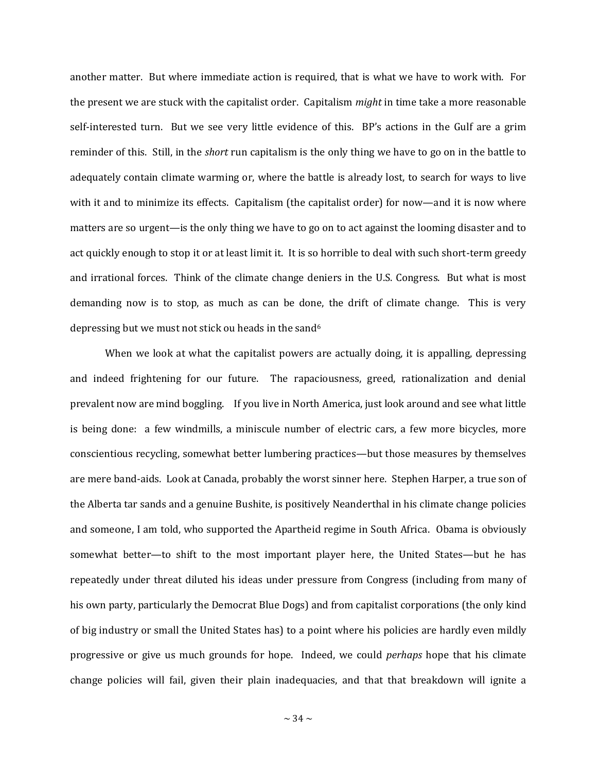another matter. But where immediate action is required, that is what we have to work with. For the present we are stuck with the capitalist order. Capitalism *might* in time take a more reasonable self-interested turn. But we see very little evidence of this. BP's actions in the Gulf are a grim reminder of this. Still, in the *short* run capitalism is the only thing we have to go on in the battle to adequately contain climate warming or, where the battle is already lost, to search for ways to live with it and to minimize its effects. Capitalism (the capitalist order) for now—and it is now where matters are so urgent—is the only thing we have to go on to act against the looming disaster and to act quickly enough to stop it or at least limit it. It is so horrible to deal with such short-term greedy and irrational forces. Think of the climate change deniers in the U.S. Congress. But what is most demanding now is to stop, as much as can be done, the drift of climate change. This is very depressing but we must not stick ou heads in the sand<sup>6</sup>

When we look at what the capitalist powers are actually doing, it is appalling, depressing and indeed frightening for our future. The rapaciousness, greed, rationalization and denial prevalent now are mind boggling. If you live in North America, just look around and see what little is being done: a few windmills, a miniscule number of electric cars, a few more bicycles, more conscientious recycling, somewhat better lumbering practices—but those measures by themselves are mere band-aids. Look at Canada, probably the worst sinner here. Stephen Harper, a true son of the Alberta tar sands and a genuine Bushite, is positively Neanderthal in his climate change policies and someone, I am told, who supported the Apartheid regime in South Africa. Obama is obviously somewhat better—to shift to the most important player here, the United States—but he has repeatedly under threat diluted his ideas under pressure from Congress (including from many of his own party, particularly the Democrat Blue Dogs) and from capitalist corporations (the only kind of big industry or small the United States has) to a point where his policies are hardly even mildly progressive or give us much grounds for hope. Indeed, we could *perhaps* hope that his climate change policies will fail, given their plain inadequacies, and that that breakdown will ignite a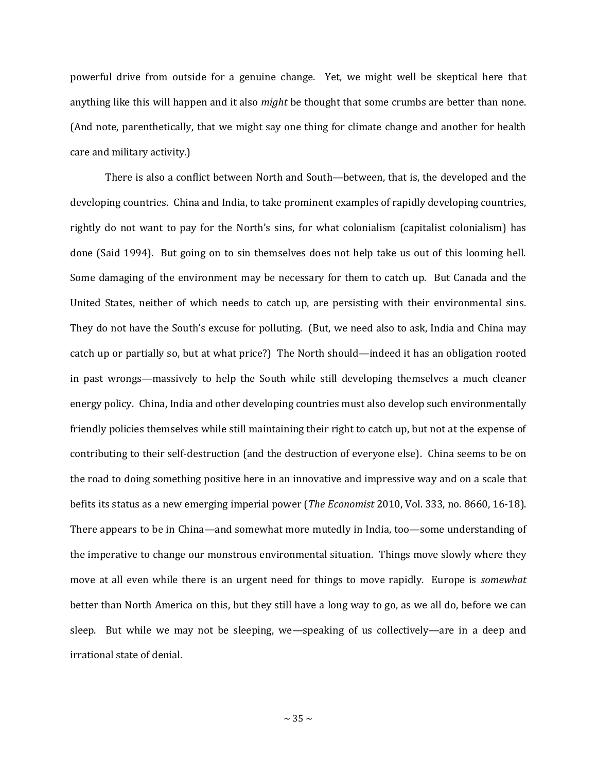powerful drive from outside for a genuine change. Yet, we might well be skeptical here that anything like this will happen and it also *might* be thought that some crumbs are better than none. (And note, parenthetically, that we might say one thing for climate change and another for health care and military activity.)

There is also a conflict between North and South—between, that is, the developed and the developing countries. China and India, to take prominent examples of rapidly developing countries, rightly do not want to pay for the North's sins, for what colonialism (capitalist colonialism) has done (Said 1994). But going on to sin themselves does not help take us out of this looming hell. Some damaging of the environment may be necessary for them to catch up. But Canada and the United States, neither of which needs to catch up, are persisting with their environmental sins. They do not have the South's excuse for polluting. (But, we need also to ask, India and China may catch up or partially so, but at what price?) The North should—indeed it has an obligation rooted in past wrongs—massively to help the South while still developing themselves a much cleaner energy policy. China, India and other developing countries must also develop such environmentally friendly policies themselves while still maintaining their right to catch up, but not at the expense of contributing to their self-destruction (and the destruction of everyone else). China seems to be on the road to doing something positive here in an innovative and impressive way and on a scale that befits its status as a new emerging imperial power (*The Economist* 2010, Vol. 333, no. 8660, 16-18). There appears to be in China—and somewhat more mutedly in India, too—some understanding of the imperative to change our monstrous environmental situation. Things move slowly where they move at all even while there is an urgent need for things to move rapidly. Europe is *somewhat* better than North America on this, but they still have a long way to go, as we all do, before we can sleep. But while we may not be sleeping, we—speaking of us collectively—are in a deep and irrational state of denial.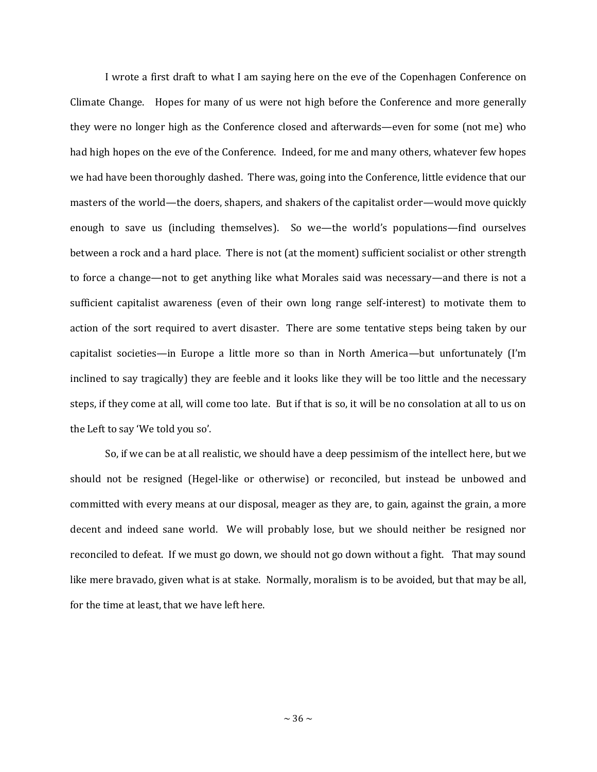I wrote a first draft to what I am saying here on the eve of the Copenhagen Conference on Climate Change. Hopes for many of us were not high before the Conference and more generally they were no longer high as the Conference closed and afterwards—even for some (not me) who had high hopes on the eve of the Conference. Indeed, for me and many others, whatever few hopes we had have been thoroughly dashed. There was, going into the Conference, little evidence that our masters of the world—the doers, shapers, and shakers of the capitalist order—would move quickly enough to save us (including themselves). So we—the world's populations—find ourselves between a rock and a hard place. There is not (at the moment) sufficient socialist or other strength to force a change—not to get anything like what Morales said was necessary—and there is not a sufficient capitalist awareness (even of their own long range self-interest) to motivate them to action of the sort required to avert disaster. There are some tentative steps being taken by our capitalist societies—in Europe a little more so than in North America—but unfortunately (I'm inclined to say tragically) they are feeble and it looks like they will be too little and the necessary steps, if they come at all, will come too late. But if that is so, it will be no consolation at all to us on the Left to say 'We told you so'.

So, if we can be at all realistic, we should have a deep pessimism of the intellect here, but we should not be resigned (Hegel-like or otherwise) or reconciled, but instead be unbowed and committed with every means at our disposal, meager as they are, to gain, against the grain, a more decent and indeed sane world. We will probably lose, but we should neither be resigned nor reconciled to defeat. If we must go down, we should not go down without a fight. That may sound like mere bravado, given what is at stake. Normally, moralism is to be avoided, but that may be all, for the time at least, that we have left here.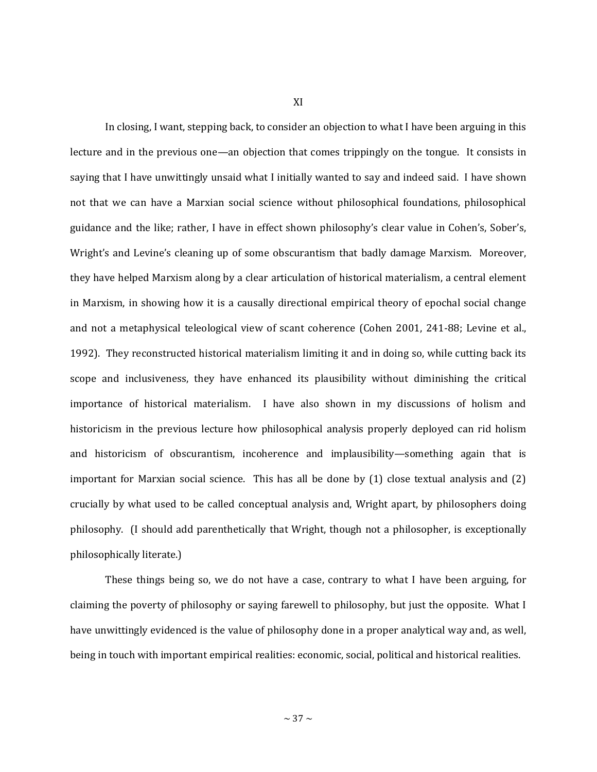XI

In closing, I want, stepping back, to consider an objection to what I have been arguing in this lecture and in the previous one—an objection that comes trippingly on the tongue. It consists in saying that I have unwittingly unsaid what I initially wanted to say and indeed said. I have shown not that we can have a Marxian social science without philosophical foundations, philosophical guidance and the like; rather, I have in effect shown philosophy's clear value in Cohen's, Sober's, Wright's and Levine's cleaning up of some obscurantism that badly damage Marxism. Moreover, they have helped Marxism along by a clear articulation of historical materialism, a central element in Marxism, in showing how it is a causally directional empirical theory of epochal social change and not a metaphysical teleological view of scant coherence (Cohen 2001, 241-88; Levine et al., 1992). They reconstructed historical materialism limiting it and in doing so, while cutting back its scope and inclusiveness, they have enhanced its plausibility without diminishing the critical importance of historical materialism. I have also shown in my discussions of holism and historicism in the previous lecture how philosophical analysis properly deployed can rid holism and historicism of obscurantism, incoherence and implausibility—something again that is important for Marxian social science. This has all be done by (1) close textual analysis and (2) crucially by what used to be called conceptual analysis and, Wright apart, by philosophers doing philosophy. (I should add parenthetically that Wright, though not a philosopher, is exceptionally philosophically literate.)

These things being so, we do not have a case, contrary to what I have been arguing, for claiming the poverty of philosophy or saying farewell to philosophy, but just the opposite. What I have unwittingly evidenced is the value of philosophy done in a proper analytical way and, as well, being in touch with important empirical realities: economic, social, political and historical realities.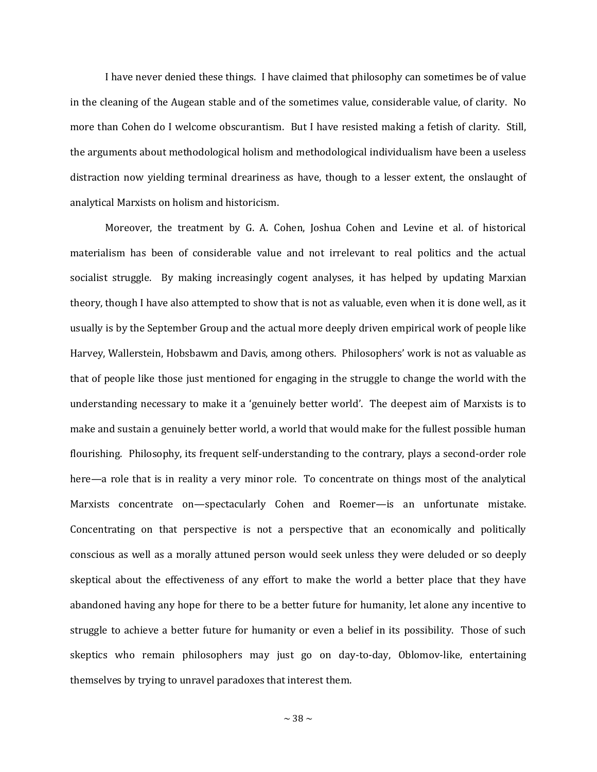I have never denied these things. I have claimed that philosophy can sometimes be of value in the cleaning of the Augean stable and of the sometimes value, considerable value, of clarity. No more than Cohen do I welcome obscurantism. But I have resisted making a fetish of clarity. Still, the arguments about methodological holism and methodological individualism have been a useless distraction now yielding terminal dreariness as have, though to a lesser extent, the onslaught of analytical Marxists on holism and historicism.

Moreover, the treatment by G. A. Cohen, Joshua Cohen and Levine et al. of historical materialism has been of considerable value and not irrelevant to real politics and the actual socialist struggle. By making increasingly cogent analyses, it has helped by updating Marxian theory, though I have also attempted to show that is not as valuable, even when it is done well, as it usually is by the September Group and the actual more deeply driven empirical work of people like Harvey, Wallerstein, Hobsbawm and Davis, among others. Philosophers' work is not as valuable as that of people like those just mentioned for engaging in the struggle to change the world with the understanding necessary to make it a 'genuinely better world'. The deepest aim of Marxists is to make and sustain a genuinely better world, a world that would make for the fullest possible human flourishing. Philosophy, its frequent self-understanding to the contrary, plays a second-order role here—a role that is in reality a very minor role. To concentrate on things most of the analytical Marxists concentrate on—spectacularly Cohen and Roemer—is an unfortunate mistake. Concentrating on that perspective is not a perspective that an economically and politically conscious as well as a morally attuned person would seek unless they were deluded or so deeply skeptical about the effectiveness of any effort to make the world a better place that they have abandoned having any hope for there to be a better future for humanity, let alone any incentive to struggle to achieve a better future for humanity or even a belief in its possibility. Those of such skeptics who remain philosophers may just go on day-to-day, Oblomov-like, entertaining themselves by trying to unravel paradoxes that interest them.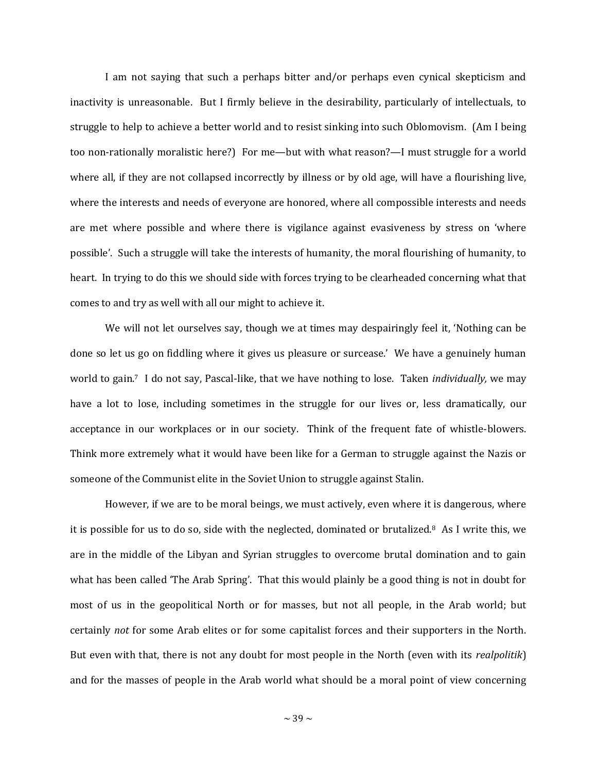I am not saying that such a perhaps bitter and/or perhaps even cynical skepticism and inactivity is unreasonable. But I firmly believe in the desirability, particularly of intellectuals, to struggle to help to achieve a better world and to resist sinking into such Oblomovism. (Am I being too non-rationally moralistic here?) For me—but with what reason?—I must struggle for a world where all, if they are not collapsed incorrectly by illness or by old age, will have a flourishing live, where the interests and needs of everyone are honored, where all compossible interests and needs are met where possible and where there is vigilance against evasiveness by stress on 'where possible'. Such a struggle will take the interests of humanity, the moral flourishing of humanity, to heart. In trying to do this we should side with forces trying to be clearheaded concerning what that comes to and try as well with all our might to achieve it.

We will not let ourselves say, though we at times may despairingly feel it, 'Nothing can be done so let us go on fiddling where it gives us pleasure or surcease.' We have a genuinely human world to gain.7 I do not say, Pascal-like, that we have nothing to lose. Taken *individually,* we may have a lot to lose, including sometimes in the struggle for our lives or, less dramatically, our acceptance in our workplaces or in our society. Think of the frequent fate of whistle-blowers. Think more extremely what it would have been like for a German to struggle against the Nazis or someone of the Communist elite in the Soviet Union to struggle against Stalin.

However, if we are to be moral beings, we must actively, even where it is dangerous, where it is possible for us to do so, side with the neglected, dominated or brutalized.8 As I write this, we are in the middle of the Libyan and Syrian struggles to overcome brutal domination and to gain what has been called 'The Arab Spring'. That this would plainly be a good thing is not in doubt for most of us in the geopolitical North or for masses, but not all people, in the Arab world; but certainly *not* for some Arab elites or for some capitalist forces and their supporters in the North. But even with that, there is not any doubt for most people in the North (even with its *realpolitik*) and for the masses of people in the Arab world what should be a moral point of view concerning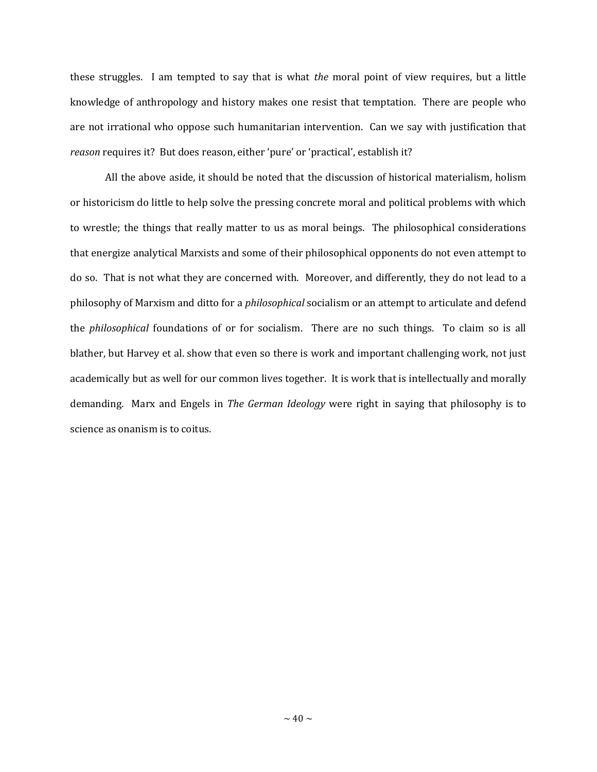these struggles. I am tempted to say that is what *the* moral point of view requires, but a little knowledge of anthropology and history makes one resist that temptation. There are people who are not irrational who oppose such humanitarian intervention. Can we say with justification that *reason* requires it? But does reason, either 'pure' or 'practical', establish it?

All the above aside, it should be noted that the discussion of historical materialism, holism or historicism do little to help solve the pressing concrete moral and political problems with which to wrestle; the things that really matter to us as moral beings. The philosophical considerations that energize analytical Marxists and some of their philosophical opponents do not even attempt to do so. That is not what they are concerned with. Moreover, and differently, they do not lead to a philosophy of Marxism and ditto for a *philosophical* socialism or an attempt to articulate and defend the *philosophical* foundations of or for socialism. There are no such things. To claim so is all blather, but Harvey et al. show that even so there is work and important challenging work, not just academically but as well for our common lives together. It is work that is intellectually and morally demanding. Marx and Engels in *The German Ideology* were right in saying that philosophy is to science as onanism is to coitus.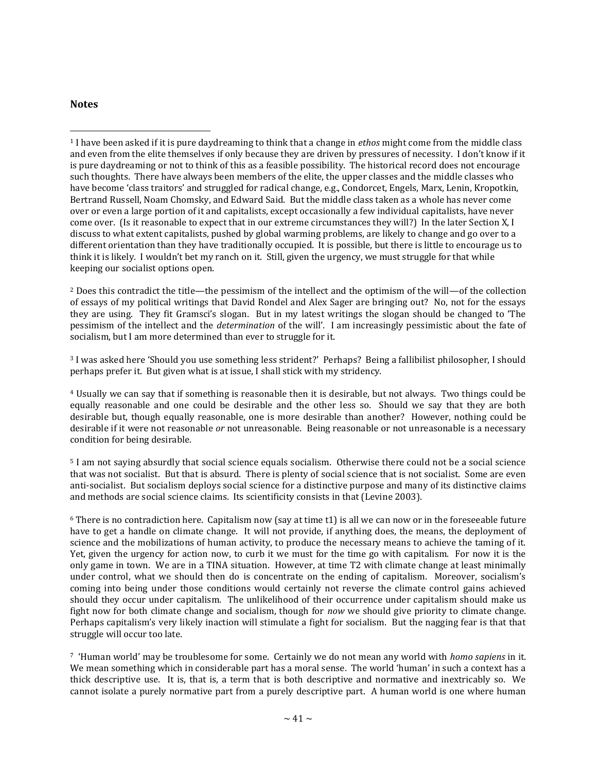## **Notes**

 $\overline{a}$ 

<sup>1</sup> I have been asked if it is pure daydreaming to think that a change in *ethos* might come from the middle class and even from the elite themselves if only because they are driven by pressures of necessity. I don't know if it is pure daydreaming or not to think of this as a feasible possibility. The historical record does not encourage such thoughts. There have always been members of the elite, the upper classes and the middle classes who have become 'class traitors' and struggled for radical change, e.g., Condorcet, Engels, Marx, Lenin, Kropotkin, Bertrand Russell, Noam Chomsky, and Edward Said. But the middle class taken as a whole has never come over or even a large portion of it and capitalists, except occasionally a few individual capitalists, have never come over. (Is it reasonable to expect that in our extreme circumstances they will?) In the later Section X, I discuss to what extent capitalists, pushed by global warming problems, are likely to change and go over to a different orientation than they have traditionally occupied. It is possible, but there is little to encourage us to think it is likely. I wouldn't bet my ranch on it. Still, given the urgency, we must struggle for that while keeping our socialist options open.

<sup>2</sup> Does this contradict the title—the pessimism of the intellect and the optimism of the will—of the collection of essays of my political writings that David Rondel and Alex Sager are bringing out? No, not for the essays they are using. They fit Gramsci's slogan. But in my latest writings the slogan should be changed to 'The pessimism of the intellect and the *determination* of the will'. I am increasingly pessimistic about the fate of socialism, but I am more determined than ever to struggle for it.

<sup>3</sup> I was asked here 'Should you use something less strident?' Perhaps? Being a fallibilist philosopher, I should perhaps prefer it. But given what is at issue, I shall stick with my stridency.

<sup>4</sup> Usually we can say that if something is reasonable then it is desirable, but not always. Two things could be equally reasonable and one could be desirable and the other less so. Should we say that they are both desirable but, though equally reasonable, one is more desirable than another? However, nothing could be desirable if it were not reasonable *or* not unreasonable. Being reasonable or not unreasonable is a necessary condition for being desirable.

<sup>5</sup> I am not saying absurdly that social science equals socialism. Otherwise there could not be a social science that was not socialist. But that is absurd. There is plenty of social science that is not socialist. Some are even anti-socialist. But socialism deploys social science for a distinctive purpose and many of its distinctive claims and methods are social science claims. Its scientificity consists in that (Levine 2003).

 $6$  There is no contradiction here. Capitalism now (say at time t1) is all we can now or in the foreseeable future have to get a handle on climate change. It will not provide, if anything does, the means, the deployment of science and the mobilizations of human activity, to produce the necessary means to achieve the taming of it. Yet, given the urgency for action now, to curb it we must for the time go with capitalism. For now it is the only game in town. We are in a TINA situation. However, at time T2 with climate change at least minimally under control, what we should then do is concentrate on the ending of capitalism. Moreover, socialism's coming into being under those conditions would certainly not reverse the climate control gains achieved should they occur under capitalism. The unlikelihood of their occurrence under capitalism should make us fight now for both climate change and socialism, though for *now* we should give priority to climate change. Perhaps capitalism's very likely inaction will stimulate a fight for socialism. But the nagging fear is that that struggle will occur too late.

<sup>7</sup> 'Human world' may be troublesome for some. Certainly we do not mean any world with *homo sapiens* in it. We mean something which in considerable part has a moral sense. The world 'human' in such a context has a thick descriptive use. It is, that is, a term that is both descriptive and normative and inextricably so. We cannot isolate a purely normative part from a purely descriptive part. A human world is one where human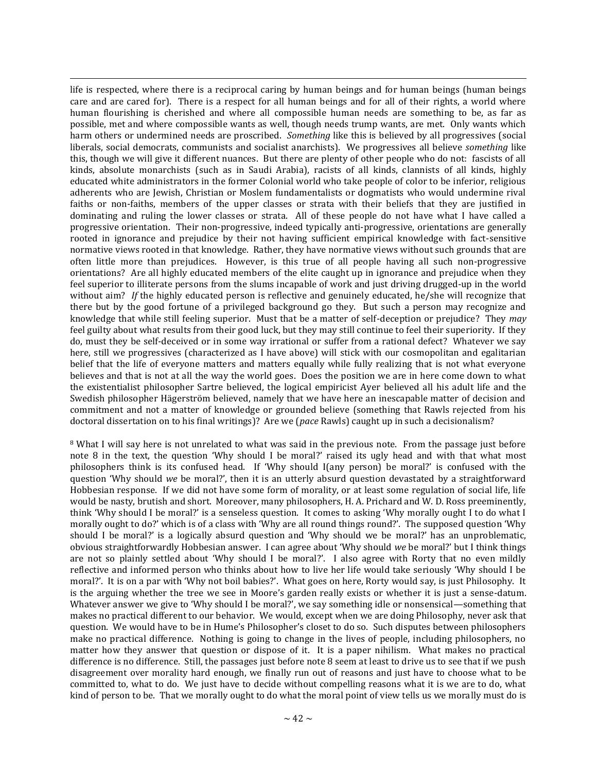$\overline{a}$ life is respected, where there is a reciprocal caring by human beings and for human beings (human beings care and are cared for). There is a respect for all human beings and for all of their rights, a world where human flourishing is cherished and where all compossible human needs are something to be, as far as possible, met and where compossible wants as well, though needs trump wants, are met. Only wants which harm others or undermined needs are proscribed. *Something* like this is believed by all progressives (social liberals, social democrats, communists and socialist anarchists). We progressives all believe *something* like this, though we will give it different nuances. But there are plenty of other people who do not: fascists of all kinds, absolute monarchists (such as in Saudi Arabia), racists of all kinds, clannists of all kinds, highly educated white administrators in the former Colonial world who take people of color to be inferior, religious adherents who are Jewish, Christian or Moslem fundamentalists or dogmatists who would undermine rival faiths or non-faiths, members of the upper classes or strata with their beliefs that they are justified in dominating and ruling the lower classes or strata. All of these people do not have what I have called a progressive orientation. Their non-progressive, indeed typically anti-progressive, orientations are generally rooted in ignorance and prejudice by their not having sufficient empirical knowledge with fact-sensitive normative views rooted in that knowledge. Rather, they have normative views without such grounds that are often little more than prejudices. However, is this true of all people having all such non-progressive orientations? Are all highly educated members of the elite caught up in ignorance and prejudice when they feel superior to illiterate persons from the slums incapable of work and just driving drugged-up in the world without aim? If the highly educated person is reflective and genuinely educated, he/she will recognize that there but by the good fortune of a privileged background go they. But such a person may recognize and knowledge that while still feeling superior. Must that be a matter of self-deception or prejudice? They *may*  feel guilty about what results from their good luck, but they may still continue to feel their superiority. If they do, must they be self-deceived or in some way irrational or suffer from a rational defect? Whatever we say here, still we progressives (characterized as I have above) will stick with our cosmopolitan and egalitarian belief that the life of everyone matters and matters equally while fully realizing that is not what everyone believes and that is not at all the way the world goes. Does the position we are in here come down to what the existentialist philosopher Sartre believed, the logical empiricist Ayer believed all his adult life and the Swedish philosopher Hägerström believed, namely that we have here an inescapable matter of decision and commitment and not a matter of knowledge or grounded believe (something that Rawls rejected from his doctoral dissertation on to his final writings)? Are we (*pace* Rawls) caught up in such a decisionalism?

<sup>8</sup> What I will say here is not unrelated to what was said in the previous note. From the passage just before note 8 in the text, the question 'Why should I be moral?' raised its ugly head and with that what most philosophers think is its confused head. If 'Why should I(any person) be moral?' is confused with the question 'Why should *we* be moral?', then it is an utterly absurd question devastated by a straightforward Hobbesian response. If we did not have some form of morality, or at least some regulation of social life, life would be nasty, brutish and short. Moreover, many philosophers, H. A. Prichard and W. D. Ross preeminently, think 'Why should I be moral?' is a senseless question. It comes to asking 'Why morally ought I to do what I morally ought to do?' which is of a class with 'Why are all round things round?'. The supposed question 'Why should I be moral?' is a logically absurd question and 'Why should we be moral?' has an unproblematic, obvious straightforwardly Hobbesian answer. I can agree about 'Why should *we* be moral?' but I think things are not so plainly settled about 'Why should I be moral?'. I also agree with Rorty that no even mildly reflective and informed person who thinks about how to live her life would take seriously 'Why should I be moral?'. It is on a par with 'Why not boil babies?'. What goes on here, Rorty would say, is just Philosophy. It is the arguing whether the tree we see in Moore's garden really exists or whether it is just a sense-datum. Whatever answer we give to 'Why should I be moral?', we say something idle or nonsensical—something that makes no practical different to our behavior. We would, except when we are doing Philosophy, never ask that question. We would have to be in Hume's Philosopher's closet to do so. Such disputes between philosophers make no practical difference. Nothing is going to change in the lives of people, including philosophers, no matter how they answer that question or dispose of it. It is a paper nihilism. What makes no practical difference is no difference. Still, the passages just before note 8 seem at least to drive us to see that if we push disagreement over morality hard enough, we finally run out of reasons and just have to choose what to be committed to, what to do. We just have to decide without compelling reasons what it is we are to do, what kind of person to be. That we morally ought to do what the moral point of view tells us we morally must do is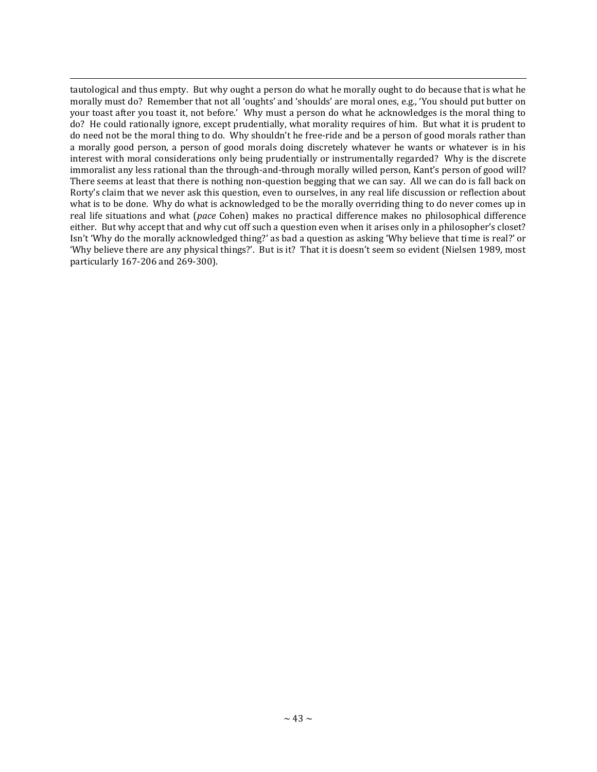$\overline{a}$ tautological and thus empty. But why ought a person do what he morally ought to do because that is what he morally must do? Remember that not all 'oughts' and 'shoulds' are moral ones, e.g., 'You should put butter on your toast after you toast it, not before.' Why must a person do what he acknowledges is the moral thing to do? He could rationally ignore, except prudentially, what morality requires of him. But what it is prudent to do need not be the moral thing to do. Why shouldn't he free-ride and be a person of good morals rather than a morally good person, a person of good morals doing discretely whatever he wants or whatever is in his interest with moral considerations only being prudentially or instrumentally regarded? Why is the discrete immoralist any less rational than the through-and-through morally willed person, Kant's person of good will? There seems at least that there is nothing non-question begging that we can say. All we can do is fall back on Rorty's claim that we never ask this question, even to ourselves, in any real life discussion or reflection about what is to be done. Why do what is acknowledged to be the morally overriding thing to do never comes up in real life situations and what (*pace* Cohen) makes no practical difference makes no philosophical difference either. But why accept that and why cut off such a question even when it arises only in a philosopher's closet? Isn't 'Why do the morally acknowledged thing?' as bad a question as asking 'Why believe that time is real?' or 'Why believe there are any physical things?'. But is it? That it is doesn't seem so evident (Nielsen 1989, most particularly 167-206 and 269-300).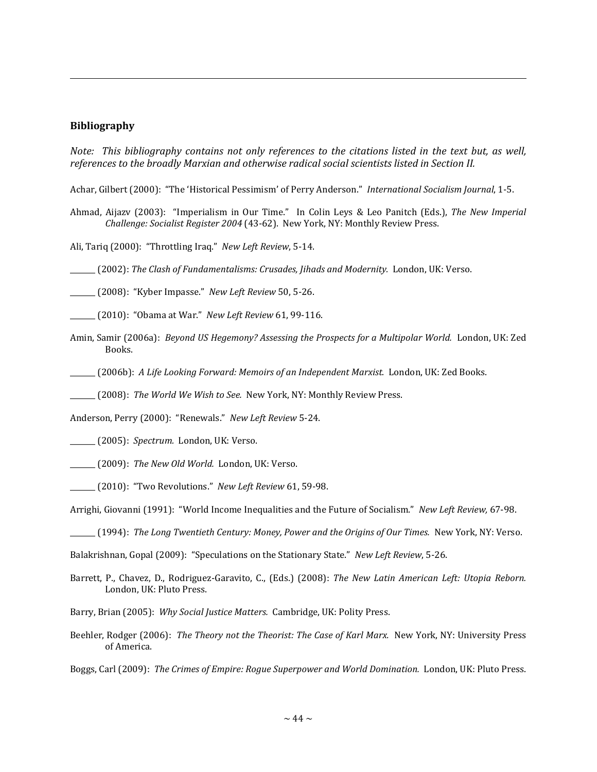## **Bibliography**

 $\overline{a}$ 

*Note: This bibliography contains not only references to the citations listed in the text but, as well, references to the broadly Marxian and otherwise radical social scientists listed in Section II.*

Achar, Gilbert (2000): "The 'Historical Pessimism' of Perry Anderson." *International Socialism Journal*, 1-5.

- Ahmad, Aijazv (2003): "Imperialism in Our Time." In Colin Leys & Leo Panitch (Eds.), *The New Imperial Challenge: Socialist Register 2004* (43-62).New York, NY: Monthly Review Press.
- Ali, Tariq (2000): "Throttling Iraq." *New Left Review*, 5-14.

\_\_\_\_\_\_\_ (2002): *The Clash of Fundamentalisms: Crusades, Jihads and Modernity.* London, UK: Verso.

\_\_\_\_\_\_\_ (2008): "Kyber Impasse." *New Left Review* 50, 5-26.

\_\_\_\_\_\_\_ (2010): "Obama at War." *New Left Review* 61, 99-116.

- Amin, Samir (2006a): *Beyond US Hegemony? Assessing the Prospects for a Multipolar World.* London, UK: Zed Books.
- \_\_\_\_\_\_\_ (2006b): *A Life Looking Forward: Memoirs of an Independent Marxist.* London, UK: Zed Books.

\_\_\_\_\_\_\_ (2008): *The World We Wish to See.* New York, NY: Monthly Review Press.

Anderson, Perry (2000): "Renewals." *New Left Review* 5-24.

\_\_\_\_\_\_\_ (2005): *Spectrum.* London, UK: Verso.

\_\_\_\_\_\_\_ (2009): *The New Old World.* London, UK: Verso.

\_\_\_\_\_\_\_ (2010): "Two Revolutions." *New Left Review* 61, 59-98.

Arrighi, Giovanni (1991): "World Income Inequalities and the Future of Socialism." *New Left Review,* 67-98.

\_\_\_\_\_\_\_ (1994): *The Long Twentieth Century: Money, Power and the Origins of Our Times.* New York, NY: Verso.

Balakrishnan, Gopal (2009): "Speculations on the Stationary State." *New Left Review*, 5-26.

Barrett, P., Chavez, D., Rodriguez-Garavito, C., (Eds.) (2008): *The New Latin American Left: Utopia Reborn.* London, UK: Pluto Press.

Barry, Brian (2005): *Why Social Justice Matters.* Cambridge, UK: Polity Press.

Beehler, Rodger (2006): *The Theory not the Theorist: The Case of Karl Marx.* New York, NY: University Press of America.

Boggs, Carl (2009): *The Crimes of Empire: Rogue Superpower and World Domination.* London, UK: Pluto Press.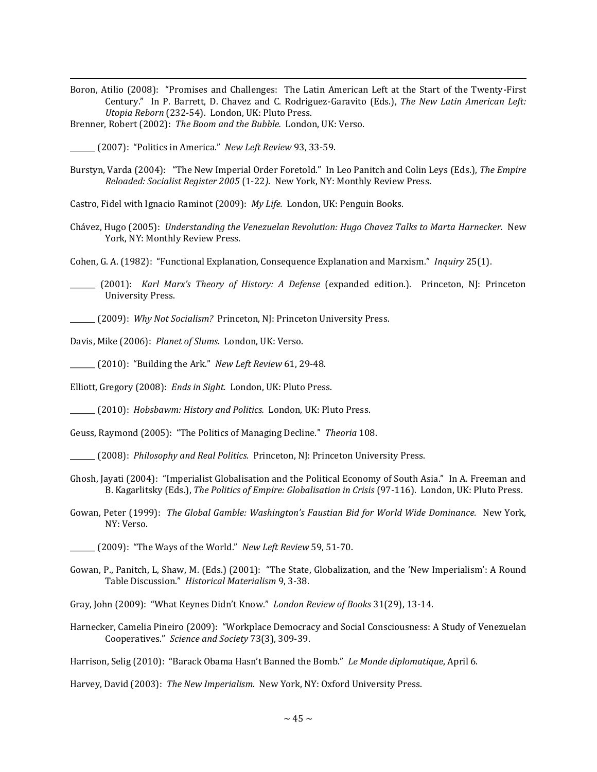Boron, Atilio (2008): "Promises and Challenges: The Latin American Left at the Start of the Twenty-First Century." In P. Barrett, D. Chavez and C. Rodriguez-Garavito (Eds.), *The New Latin American Left: Utopia Reborn* (232-54). London, UK: Pluto Press.

Brenner, Robert (2002): *The Boom and the Bubble.* London, UK: Verso.

\_\_\_\_\_\_\_ (2007): "Politics in America." *New Left Review* 93, 33-59.

 $\overline{a}$ 

Burstyn, Varda (2004): "The New Imperial Order Foretold." In Leo Panitch and Colin Leys (Eds.), *The Empire Reloaded: Socialist Register 2005* (1-22*).* New York, NY: Monthly Review Press.

Castro, Fidel with Ignacio Raminot (2009): *My Life.* London, UK: Penguin Books.

Chávez, Hugo (2005): *Understanding the Venezuelan Revolution: Hugo Chavez Talks to Marta Harnecker.* New York, NY: Monthly Review Press.

Cohen, G. A. (1982): "Functional Explanation, Consequence Explanation and Marxism." *Inquiry* 25(1).

\_\_\_\_\_\_\_ (2001): *Karl Marx's Theory of History: A Defense* (expanded edition.). Princeton, NJ: Princeton University Press.

\_\_\_\_\_\_\_ (2009): *Why Not Socialism?* Princeton, NJ: Princeton University Press.

Davis, Mike (2006): *Planet of Slums.* London, UK: Verso.

\_\_\_\_\_\_\_ (2010): "Building the Ark." *New Left Review* 61, 29-48.

Elliott, Gregory (2008): *Ends in Sight.* London, UK: Pluto Press.

\_\_\_\_\_\_\_ (2010): *Hobsbawm: History and Politics.* London, UK: Pluto Press.

Geuss, Raymond (2005): "The Politics of Managing Decline." *Theoria* 108.

\_\_\_\_\_\_\_ (2008): *Philosophy and Real Politics.* Princeton, NJ: Princeton University Press.

- Ghosh, Jayati (2004): "Imperialist Globalisation and the Political Economy of South Asia." In A. Freeman and B. Kagarlitsky (Eds.), *The Politics of Empire: Globalisation in Crisis* (97-116). London, UK: Pluto Press.
- Gowan, Peter (1999): *The Global Gamble: Washington's Faustian Bid for World Wide Dominance.* New York, NY: Verso.

\_\_\_\_\_\_\_ (2009): "The Ways of the World." *New Left Review* 59, 51-70.

- Gowan, P., Panitch, L, Shaw, M. (Eds.) (2001): "The State, Globalization, and the 'New Imperialism': A Round Table Discussion." *Historical Materialism* 9, 3-38.
- Gray, John (2009): "What Keynes Didn't Know." *London Review of Books* 31(29), 13-14.
- Harnecker, Camelia Pineiro (2009): "Workplace Democracy and Social Consciousness: A Study of Venezuelan Cooperatives." *Science and Society* 73(3), 309-39.

Harrison, Selig (2010): "Barack Obama Hasn't Banned the Bomb." *Le Monde diplomatique*, April 6.

Harvey, David (2003): *The New Imperialism.* New York, NY: Oxford University Press.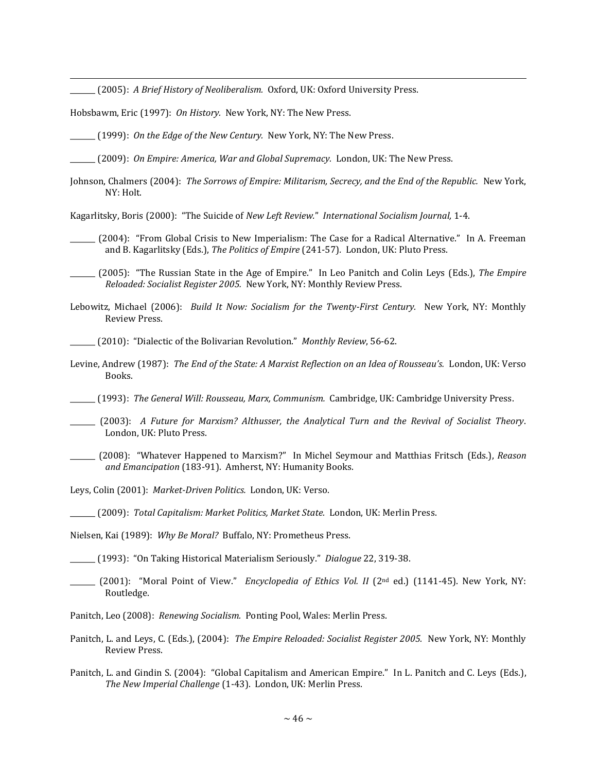\_\_\_\_\_\_\_ (2005): *A Brief History of Neoliberalism.* Oxford, UK: Oxford University Press.

Hobsbawm, Eric (1997): *On History.* New York, NY: The New Press.

 $\overline{a}$ 

\_\_\_\_\_\_\_ (1999): *On the Edge of the New Century.* New York, NY: The New Press.

\_\_\_\_\_\_\_ (2009): *On Empire: America, War and Global Supremacy.* London, UK: The New Press.

Johnson, Chalmers (2004): The Sorrows of Empire: Militarism, Secrecy, and the End of the Republic. New York, NY: Holt.

Kagarlitsky, Boris (2000): "The Suicide of *New Left Review.*" *International Socialism Journal,* 1-4.

- \_\_\_\_\_\_\_ (2004): "From Global Crisis to New Imperialism: The Case for a Radical Alternative." In A. Freeman and B. Kagarlitsky (Eds.), *The Politics of Empire* (241-57)*.* London, UK: Pluto Press.
- \_\_\_\_\_\_\_ (2005): "The Russian State in the Age of Empire." In Leo Panitch and Colin Leys (Eds.), *The Empire Reloaded: Socialist Register 2005.* New York, NY: Monthly Review Press.
- Lebowitz, Michael (2006): *Build It Now: Socialism for the Twenty-First Century.* New York, NY: Monthly Review Press.

\_\_\_\_\_\_\_ (2010): "Dialectic of the Bolivarian Revolution." *Monthly Review*, 56-62.

Levine, Andrew (1987): *The End of the State: A Marxist Reflection on an Idea of Rousseau's.* London, UK: Verso Books.

\_\_\_\_\_\_\_ (1993): *The General Will: Rousseau, Marx, Communism.* Cambridge, UK: Cambridge University Press.

- \_\_\_\_\_\_\_ (2003): *A Future for Marxism? Althusser, the Analytical Turn and the Revival of Socialist Theory*. London, UK: Pluto Press.
- \_\_\_\_\_\_\_ (2008): "Whatever Happened to Marxism?" In Michel Seymour and Matthias Fritsch (Eds.), *Reason and Emancipation* (183-91). Amherst, NY: Humanity Books.

Leys, Colin (2001): *Market-Driven Politics.* London, UK: Verso.

\_\_\_\_\_\_\_ (2009): *Total Capitalism: Market Politics, Market State.* London, UK: Merlin Press.

Nielsen, Kai (1989): *Why Be Moral?* Buffalo, NY: Prometheus Press.

\_\_\_\_\_\_\_ (1993): "On Taking Historical Materialism Seriously." *Dialogue* 22, 319-38.

\_\_\_\_\_\_\_ (2001): "Moral Point of View." *Encyclopedia of Ethics Vol. II* (2nd ed.) (1141-45). New York, NY: Routledge.

Panitch, Leo (2008): *Renewing Socialism.* Ponting Pool, Wales: Merlin Press.

- Panitch, L. and Leys, C. (Eds.), (2004): *The Empire Reloaded: Socialist Register 2005.* New York, NY: Monthly Review Press.
- Panitch, L. and Gindin S. (2004): "Global Capitalism and American Empire." In L. Panitch and C. Leys (Eds.), *The New Imperial Challenge* (1-43). London, UK: Merlin Press.